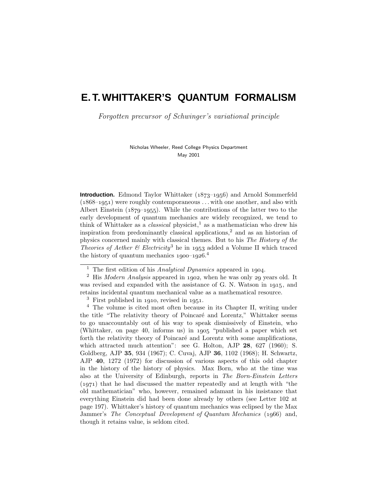# **E. T. WHITTAKER'S QUANTUM FORMALISM**

Forgotten precursor of Schwinger's variational principle

Nicholas Wheeler, Reed College Physics Department May 2001

**Introduction.** Edmond Taylor Whittaker (1873–1956) and Arnold Sommerfeld  $(1868-1951)$  were roughly contemporaneous  $\dots$  with one another, and also with Albert Einstein  $(1879-1955)$ . While the contributions of the latter two to the early development of quantum mechanics are widely recognized, we tend to think of Whittaker as a *classical* physicist,<sup>1</sup> as a mathematician who drew his inspiration from predominantly classical applications,<sup>2</sup> and as an historian of physics concerned mainly with classical themes. But to his The History of the Theories of Aether & Electricity<sup>3</sup> he in 1953 added a Volume II which traced the history of quantum mechanics  $1900-1926$ <sup>4</sup>

 $3$  First published in 1910, revised in 1951.

<sup>4</sup> The volume is cited most often because in its Chapter II, writing under the title "The relativity theory of Poincaré and Lorentz," Whittaker seems to go unaccountably out of his way to speak dismissively of Einstein, who (Whittaker, on page 40, informs us) in  $1905$  "published a paper which set forth the relativity theory of Poincaré and Lorentz with some amplifications, which attracted much attention": see G. Holton, AJP 28, 627 (1960); S. Goldberg, AJP **35**, 934 (1967); C.Cuvaj, AJP **36**, 1102 (1968); H.Schwartz, AJP **40**, 1272 (1972) for discussion of various aspects of this odd chapter in the history of the history of physics. Max Born, who at the time was also at the University of Edinburgh, reports in The Born-Einstein Letters  $(1971)$  that he had discussed the matter repeatedly and at length with "the old mathematician" who, however, remained adamant in his insistance that everything Einstein did had been done already by others (see Letter 102 at page 197).Whittaker's history of quantum mechanics was eclipsed by the Max Jammer's The Conceptual Development of Quantum Mechanics (1966) and, though it retains value, is seldom cited.

<sup>&</sup>lt;sup>1</sup> The first edition of his Analytical Dynamics appeared in 1904.

 $2$  His *Modern Analysis* appeared in 1902, when he was only 29 years old. It was revised and expanded with the assistance of G.N. Watson in 1915, and retains incidental quantum mechanical value as a mathematical resource.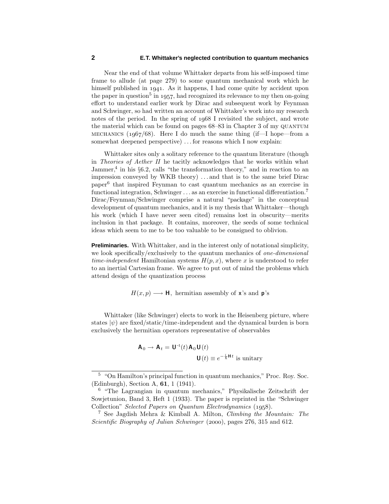Near the end of that volume Whittaker departs from his self-imposed time frame to allude (at page 279) to some quantum mechanical work which he himself published in 1941. As it happens, I had come quite by accident upon the paper in question<sup>5</sup> in 1957, had recognized its relevance to my then on-going effort to understand earlier work by Dirac and subsequent work by Feynman and Schwinger, so had written an account of Whittaker's work into my research notes of the period. In the spring of 1968 I revisited the subject, and wrote the material which can be found on pages  $68-83$  in Chapter 3 of my QUANTUM MECHANICS ( $1967/68$ ). Here I do much the same thing (if—I hope—from a somewhat deepened perspective) *...* for reasons which I now explain:

Whittaker sites only a solitary reference to the quantum literature (though in Theories of Aether II he tacitly acknowledges that he works within what Jammer, $4$  in his §6.2, calls "the transformation theory," and in reaction to an impression conveyed by WKB theory) *...* and that is to the same brief Dirac paper<sup>6</sup> that inspired Feynman to cast quantum mechanics as an exercise in functional integration, Schwinger *...* as an exercise in functional differentiation.<sup>7</sup> Dirac/Feynman/Schwinger comprise a natural "package" in the conceptual development of quantum mechanics, and it is my thesis that Whittaker—though his work (which I have never seen cited) remains lost in obscurity—merits inclusion in that package.It contains, moreover, the seeds of some technical ideas which seem to me to be too valuable to be consigned to oblivion.

**Preliminaries.** With Whittaker, and in the interest only of notational simplicity, we look specifically/exclusively to the quantum mechanics of one-dimensional time-independent Hamiltonian systems  $H(p, x)$ , where x is understood to refer to an inertial Cartesian frame.We agree to put out of mind the problems which attend design of the quantization process

 $H(x, p) \longrightarrow \mathbf{H}$ , hermitian assembly of **x**'s and **p**'s

Whittaker (like Schwinger) elects to work in the Heisenberg picture, where states  $|\psi\rangle$  are fixed/static/time-independent and the dynamical burden is born exclusively the hermitian operators representative of observables

$$
\mathbf{A}_0 \to \mathbf{A}_t = \mathbf{U}^{-1}(t) \mathbf{A}_0 \mathbf{U}(t)
$$

$$
\mathbf{U}(t) \equiv e^{-\frac{i}{\hbar} \mathbf{H} t} \text{ is unitary}
$$

<sup>5</sup> "On Hamilton's principal function in quantum mechanics," Proc.Roy.Soc. (Edinburgh), Section A, **61**, 1 (1941).

<sup>6</sup> "The Lagrangian in quantum mechanics," Physikalische Zeitschrift der Sowjetunion, Band 3, Heft 1 (1933). The paper is reprinted in the "Schwinger Collection" Selected Papers on Quantum Electrodynamics (1958).

<sup>&</sup>lt;sup>7</sup> See Jagdish Mehra & Kimball A. Milton, *Climbing the Mountain:* The Scientific Biography of Julian Schwinger (2000), pages 276, 315 and 612.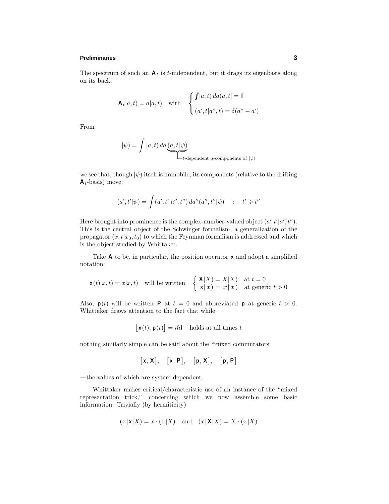## **Preliminaries 3**

The spectrum of such an  $A_t$  is *t*-independent, but it drags its eigenbasis along on its back:

$$
\mathbf{A}_t|a,t) = a|a,t) \quad \text{with} \quad \begin{cases} \int |a,t) \, da(a,t) = 1 \\ (a',t|a'',t) = \delta(a''-a') \end{cases}
$$

From

$$
|\psi\rangle = \int |a, t) \, da \underbrace{(a, t | \psi)}_{t\text{-dependent } a\text{-components of } |\psi\rangle}
$$

we see that, though  $|\psi\rangle$  itself is immobile, its components (relative to the drifting **A***t*-basis) move:

$$
(a', t'|\psi) = \int (a', t'|a'', t'') da''(a'', t'|\psi) \quad : \quad t' \geq t''
$$

Here brought into prominence is the complex-number-valued object  $(a', t'|a'', t'')$ . This is the central object of the Schwinger formalism, a generalization of the propagator  $(x, t|x_0, t_0)$  to which the Feynman formalism is addressed and which is the object studied by Whittaker.

Take **A** to be, in particular, the position operator **x** and adopt a simplified notation:

$$
\mathbf{x}(t)|x,t) = x|x,t) \quad \text{will be written} \quad \begin{cases} \mathbf{X}|X) = X|X| & \text{at } t = 0\\ \mathbf{x}|x) = x|x| & \text{at generic } t > 0 \end{cases}
$$

Also,  $p(t)$  will be written **P** at  $t = 0$  and abbreviated **p** at generic  $t > 0$ . Whittaker draws attention to the fact that while

$$
[\mathbf{x}(t), \mathbf{p}(t)] = i\hbar \mathbf{I} \quad \text{holds at all times } t
$$

nothing similarly simple can be said about the "mixed commutators"

$$
\big[x,X\big],\quad \big[x,P\big],\quad \big[p,X\big],\quad \big[p,P\big]
$$

—the values of which are system-dependent.

Whittaker makes critical/characteristic use of an instance of the "mixed representation trick," concerning which we now assemble some basic information. Trivially (by hermiticity)

$$
(x|\mathbf{x}|X) = x \cdot (x|X)
$$
 and  $(x|\mathbf{X}|X) = X \cdot (x|X)$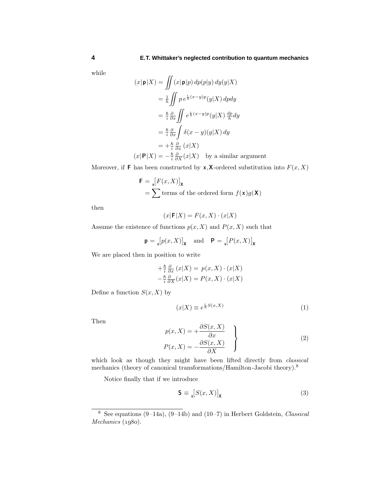while

$$
(x|\mathbf{p}|X) = \iint (x|\mathbf{p}|p) dp(p|y) dy(y|X)
$$
  
\n
$$
= \frac{1}{\hbar} \iint p e^{\frac{i}{\hbar}(x-y)p}(y|X) dp dy
$$
  
\n
$$
= \frac{\hbar}{i} \frac{\partial}{\partial x} \iint e^{\frac{i}{\hbar}(x-y)p}(y|X) \frac{dp}{h} dy
$$
  
\n
$$
= \frac{\hbar}{i} \frac{\partial}{\partial x} \int \delta(x-y)(y|X) dy
$$
  
\n
$$
= +\frac{\hbar}{i} \frac{\partial}{\partial x} (x|X)
$$
  
\n
$$
(x|\mathbf{P}|X) = -\frac{\hbar}{i} \frac{\partial}{\partial x} (x|X) \text{ by a similar argument}
$$

Moreover, if **F** has been constructed by **x**, **X**-ordered substitution into  $F(x, X)$ 

$$
\mathbf{F} = \mathbf{x} [F(x, X)]_{\mathbf{X}}
$$
  
=  $\sum$  terms of the ordered form  $f(\mathbf{x})g(\mathbf{X})$ 

then

$$
(x|\mathbf{F}|X) = F(x,X) \cdot (x|X)
$$

Assume the existence of functions  $p(x, X)$  and  $P(x, X)$  such that

$$
\mathbf{p} = \mathbf{x}[p(x, X)]_{\mathbf{X}} \quad \text{and} \quad \mathbf{P} = \mathbf{x}[P(x, X)]_{\mathbf{X}}
$$

We are placed then in position to write

$$
+\frac{\hbar}{i}\frac{\partial}{\partial x}(x|X) = p(x,X)\cdot(x|X) -\frac{\hbar}{i}\frac{\partial}{\partial X}(x|X) = P(x,X)\cdot(x|X)
$$

Define a function  $S(x, X)$  by

$$
(x|X) \equiv e^{\frac{i}{\hbar}S(x,X)}\tag{1}
$$

Then

$$
p(x, X) = +\frac{\partial S(x, X)}{\partial x}
$$
  
\n
$$
P(x, X) = -\frac{\partial S(x, X)}{\partial X}
$$
\n(2)

which look as though they might have been lifted directly from *classical* mechanics (theory of canonical transformations/Hamilton-Jacobi theory).<sup>8</sup>

Notice finally that if we introduce

$$
\mathbf{S} \equiv \mathbf{x}[S(x, X)]_{\mathbf{X}} \tag{3}
$$

<sup>&</sup>lt;sup>8</sup> See equations (9–14a), (9–14b) and (10–7) in Herbert Goldstein, *Classical*  $Mechanics (1980).$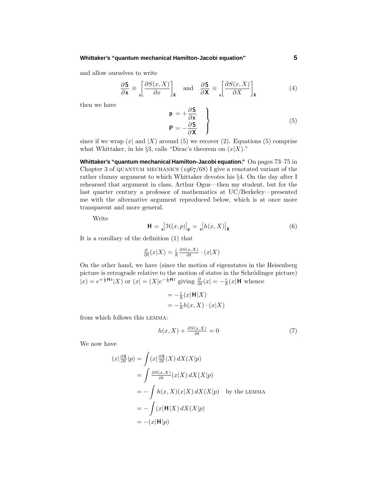#### **Whittaker's "quantum mechanical Hamilton-Jacobi equation" 5**

and allow ourselves to write

$$
\frac{\partial \mathbf{S}}{\partial \mathbf{x}} \equiv \begin{bmatrix} \frac{\partial S(x, X)}{\partial x} \end{bmatrix}_{\mathbf{X}} \quad \text{and} \quad \frac{\partial \mathbf{S}}{\partial \mathbf{X}} \equiv \begin{bmatrix} \frac{\partial S(x, X)}{\partial X} \end{bmatrix}_{\mathbf{X}} \tag{4}
$$

then we have

$$
\mathbf{p} = +\frac{\partial \mathbf{S}}{\partial \mathbf{x}} \n\mathbf{P} = -\frac{\partial \mathbf{S}}{\partial \mathbf{X}}
$$
\n(5)

since if we wrap  $(x | \text{ and } |X)$  around (5) we recover (2). Equations (5) comprise what Whittaker, in his §3, calls "Dirac's theorem on  $(x|X)$ ."

**Whittaker's "quantum mechanical Hamilton-Jacobi equation."** On pages 73–75 in Chapter 3 of QUANTUM MECHANICS  $(1.067/68)$  I give a renotated variant of the rather clumsy argument to which Whittaker devotes his §4. On the day after I rehearsed that argument in class, Arthur Ogus—then my student, but for the last quarter century a professor of mathematics at UC/Berkeley—presented me with the alternative argument reproduced below, which is at once more transparent and more general.

Write

$$
\mathbf{H} = \mathbf{I} \left[ \mathcal{H}(x, p) \right]_{\mathbf{p}} = \mathbf{I} \left[ h(x, X) \right]_{\mathbf{X}} \tag{6}
$$

It is a corollary of the definition (1) that

$$
\frac{\partial}{\partial t}(x|X) = \frac{i}{\hbar} \frac{\partial S(x,X)}{\partial t} \cdot (x|X)
$$

On the other hand, we have (since the motion of eigenstates in the Heisenberg picture is retrograde relative to the motion of states in the Schrödinger picture)  $|x| = e^{i\frac{i}{\hbar}Ht}$  (*X*) or  $(x) = (X|e^{-i\frac{i}{\hbar}Ht})$  giving  $\frac{\partial}{\partial t}(x) = -\frac{i}{\hbar}(x|H)$  whence

$$
= -\frac{i}{\hbar}(x|\mathbf{H}|X)
$$
  

$$
= -\frac{i}{\hbar}h(x,X) \cdot (x|X)
$$

from which follows this lemma:

$$
h(x, X) + \frac{\partial S(x, X)}{\partial t} = 0\tag{7}
$$

We now have

$$
(x|\frac{\partial \mathsf{S}}{\partial t}|p) = \int (x|\frac{\partial \mathsf{S}}{\partial t}|X) dX(X|p)
$$
  
= 
$$
\int \frac{\partial S(x,X)}{\partial t}(x|X) dX(X|p)
$$
  
= 
$$
-\int h(x,X)(x|X) dX(X|p) \text{ by the LEMMA}
$$
  
= 
$$
-\int (x|\mathbf{H}|X) dX(X|p)
$$
  
= 
$$
-(x|\mathbf{H}|p)
$$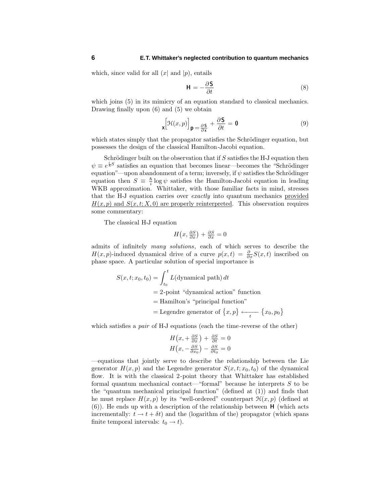which, since valid for all  $(x |$  and  $|p)$ , entails

$$
\mathbf{H} = -\frac{\partial \mathbf{S}}{\partial t} \tag{8}
$$

which joins  $(5)$  in its mimicry of an equation standard to classical mechanics. Drawing finally upon (6) and (5) we obtain

$$
\mathbf{x} \left[ \mathcal{H}(x, p) \right] \mathbf{p} = \frac{\partial \mathbf{S}}{\partial x} + \frac{\partial \mathbf{S}}{\partial t} = \mathbf{0} \tag{9}
$$

which states simply that the propagator satisfies the Schrödinger equation, but possesses the design of the classical Hamilton-Jacobi equation.

Schrödinger built on the observation that if *S* satisfies the H-J equation then  $\psi \equiv e^{\frac{i}{\hbar}S}$  satisfies an equation that becomes linear—becomes the "Schrödinger" equation"—upon abandonment of a term; inversely, if  $\psi$  satisfies the Schrödinger equation then  $S = \frac{\hbar}{i} \log \psi$  satisfies the Hamilton-Jacobi equation in leading WKB approximation. Whittaker, with those familiar facts in mind, stresses that the H-J equation carries over exactly into quantum mechanics provided  $H(x, p)$  and  $S(x, t; X, 0)$  are properly reinterpreted. This observation requires some commentary:

The classical H-J equation

$$
H\left(x, \frac{\partial S}{\partial x}\right) + \frac{\partial S}{\partial x} = 0
$$

admits of infinitely many solutions, each of which serves to describe the *H*(*x, p*)-induced dynamical drive of a curve  $p(x,t) = \frac{\partial}{\partial x} S(x,t)$  inscribed on phase space.A particular solution of special importance is

$$
S(x, t; x_0, t_0) = \int_{t_0}^t L(\text{dynamical path}) dt
$$
  
= 2-point "dynamical action" function  
= Hamilton's "principal function"  
= Legendre generator of  $\{x, p\} \leftarrow_t \{x_0, p_0\}$ 

which satisfies a *pair* of H-J equations (each the time-reverse of the other)

$$
H\left(x, +\frac{\partial S}{\partial x}\right) + \frac{\partial S}{\partial t} = 0
$$
  

$$
H\left(x, -\frac{\partial S}{\partial x_0}\right) - \frac{\partial S}{\partial t_0} = 0
$$

—equations that jointly serve to describe the relationship between the Lie generator  $H(x, p)$  and the Legendre generator  $S(x, t; x_0, t_0)$  of the dynamical flow.It is with the classical 2-point theory that Whittaker has established formal quantum mechanical contact—"formal" because he interprets *S* to be the "quantum mechanical principal function" (defined at (1)) and finds that he must replace  $H(x, p)$  by its "well-ordered" counterpart  $\mathcal{H}(x, p)$  (defined at  $(6)$ ). He ends up with a description of the relationship between **H** (which acts incrementally:  $t \to t + \delta t$  and the (logarithm of the) propagator (which spans finite temporal intervals:  $t_0 \rightarrow t$ ).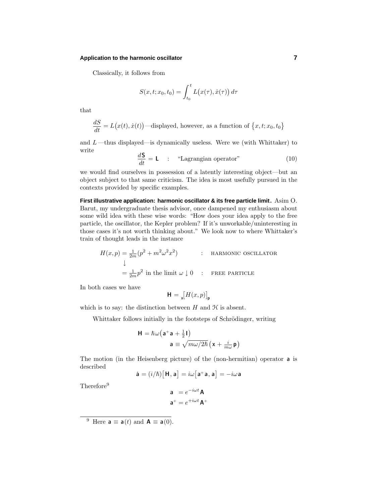## **Application to the harmonic oscillator 7**

Classically, it follows from

$$
S(x,t;x_0,t_0) = \int_{t_0}^t L(x(\tau),\dot{x}(\tau)) d\tau
$$

that

$$
\frac{dS}{dt} = L(x(t), \dot{x}(t))
$$
—displayed, however, as a function of  $\{x, t; x_0, t_0\}$ 

and  $L$ —thus displayed—is dynamically useless. Were we (with Whittaker) to write

$$
\frac{d\mathbf{S}}{dt} = \mathbf{L} \qquad \text{``Lagrangian operator''} \tag{10}
$$

we would find ourselves in possession of a latently interesting object—but an object subject to that same criticism.The idea is most usefully pursued in the contexts provided by specific examples.

**First illustrative application: harmonic oscillator & its free particle limit.** Asim O. Barut, my undergraduate thesis advisor, once dampened my enthusiasm about some wild idea with these wise words: "How does your idea apply to the free particle, the oscillator, the Kepler problem? If it's unworkable/uninteresting in those cases it's not worth thinking about." We look now to where Whittaker's train of thought leads in the instance

$$
H(x, p) = \frac{1}{2m}(p^2 + m^2\omega^2 x^2)
$$
: HARMONIC OSCILLATOR  

$$
\downarrow
$$

$$
= \frac{1}{2m}p^2
$$
in the limit  $\omega \downarrow 0$ : Free PARTICLE

In both cases we have

$$
\mathbf{H} = \mathbf{x} \big[ H(x, p) \big]_{\mathbf{p}}
$$

which is to say: the distinction between  $H$  and  $H$  is absent.

Whittaker follows initially in the footsteps of Schrödinger, writing

$$
H = \hslash \omega (a^+ a + \frac{1}{2}I)
$$

$$
a \equiv \sqrt{m\omega/2\hslash} (x + \frac{i}{m\omega} p)
$$

The motion (in the Heisenberg picture) of the (non-hermitian) operator **a** is described

$$
\dot{\mathbf{a}} = (i/\hbar)[\mathbf{H}, \mathbf{a}] = i\omega[\mathbf{a}^+\mathbf{a}, \mathbf{a}] = -i\omega\mathbf{a}
$$

Therefore<sup>9</sup>

$$
\mathbf{a} = e^{-i\omega t} \mathbf{A}
$$

$$
\mathbf{a}^+ = e^{+i\omega t} \mathbf{A}^+
$$

<sup>&</sup>lt;sup>9</sup> Here  $\mathbf{a} \equiv \mathbf{a}(t)$  and  $\mathbf{A} \equiv \mathbf{a}(0)$ .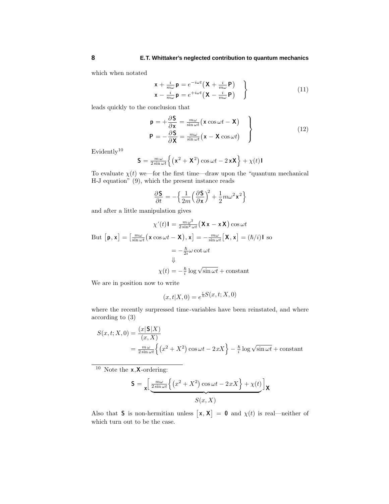which when notated

$$
\mathbf{x} + \frac{i}{m\omega} \mathbf{p} = e^{-i\omega t} \left( \mathbf{X} + \frac{i}{m\omega} \mathbf{P} \right) \n\mathbf{x} - \frac{i}{m\omega} \mathbf{p} = e^{+i\omega t} \left( \mathbf{X} - \frac{i}{m\omega} \mathbf{P} \right)
$$
\n(11)

l,

leads quickly to the conclusion that

$$
\mathbf{p} = +\frac{\partial \mathbf{S}}{\partial \mathbf{x}} = \frac{m\omega}{\sin \omega t} (\mathbf{x} \cos \omega t - \mathbf{X})
$$
  
\n
$$
\mathbf{P} = -\frac{\partial \mathbf{S}}{\partial \mathbf{X}} = \frac{m\omega}{\sin \omega t} (\mathbf{x} - \mathbf{X} \cos \omega t)
$$
 (12)

 $\mathop{\rm Evidentally}\nolimits^{10}$ 

$$
\mathbf{S} = \frac{m\,\omega}{2\sin\omega t} \Big\{ \left( \mathbf{x}^2 + \mathbf{X}^2 \right) \cos\omega t - 2\,\mathbf{x}\mathbf{X} \Big\} + \chi(t)\mathbf{I}
$$

To evaluate  $\chi(t)$  we—for the first time—draw upon the "quantum mechanical" H-J equation" (9), which the present instance reads

$$
\frac{\partial \mathbf{S}}{\partial t} = -\Big\{\frac{1}{2m} \Big(\frac{\partial \mathbf{S}}{\partial \mathbf{x}}\Big)^2 + \frac{1}{2} m \omega^2 \mathbf{x}^2 \Big\}
$$

and after a little manipulation gives

$$
\chi'(t)\mathbf{I} = \frac{m\omega^2}{2\sin^2 \omega t} (\mathbf{X} \mathbf{x} - \mathbf{x} \mathbf{X}) \cos \omega t
$$
  
But  $[\mathbf{p}, \mathbf{x}] = \left[\frac{m\omega}{\sin \omega t} (\mathbf{x} \cos \omega t - \mathbf{X}), \mathbf{x}\right] = -\frac{m\omega}{\sin \omega t} [\mathbf{X}, \mathbf{x}] = (\hbar/i)\mathbf{I}$  so  

$$
= -\frac{\hbar}{2i} \omega \cot \omega t
$$

$$
\Downarrow
$$

$$
\chi(t) = -\frac{\hbar}{i} \log \sqrt{\sin \omega t} + \text{constant}
$$

We are in position now to write

$$
(x,t|X,0) = e^{\frac{i}{\hbar}S(x,t;X,0)}
$$

where the recently surpressed time-variables have been reinstated, and where according to (3)

$$
S(x, t; X, 0) = \frac{(x | \mathbf{S} | X)}{(x, X)}
$$
  
=  $\frac{m \omega}{2 \sin \omega t} \left\{ (x^2 + X^2) \cos \omega t - 2xX \right\} - \frac{\hbar}{i} \log \sqrt{\sin \omega t} + \text{constant}$ 

<sup>10</sup> Note the **x***,***X**-ordering:

$$
\mathbf{S} = \mathbf{x} \left[ \underbrace{\frac{m\omega}{2\sin\omega t} \left\{ \left( x^2 + X^2 \right) \cos\omega t - 2xX \right\} + \chi(t)}_{S(x, X)} \right] \mathbf{x}
$$

Also that **S** is non-hermitian unless  $[\mathbf{x}, \mathbf{X}] = \mathbf{0}$  and  $\chi(t)$  is real—neither of which turn out to be the case.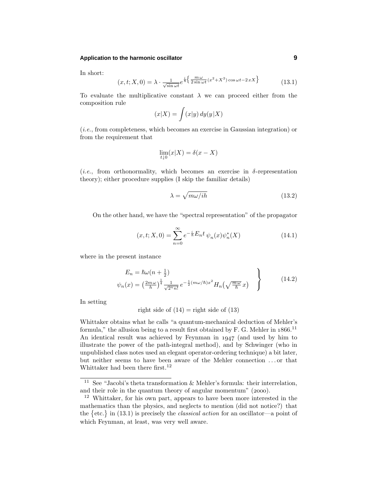## **Application to the harmonic oscillator 9**

In short:

$$
(x, t; X, 0) = \lambda \cdot \frac{1}{\sqrt{\sin \omega t}} e^{\frac{i}{\hbar} \left\{ \frac{m\,\omega}{2\sin \omega t} (x^2 + X^2) \cos \omega t - 2\,x X \right\}} \tag{13.1}
$$

To evaluate the multiplicative constant  $\lambda$  we can proceed either from the composition rule

$$
(x|X) = \int (x|y) dy(y|X)
$$

(i.e., from completeness, which becomes an exercise in Gaussian integration) or from the requirement that

$$
\lim_{t \downarrow 0} (x | X) = \delta(x - X)
$$

(*i.e.*, from orthonormality, which becomes an exercise in  $\delta$ -representation theory); either procedure supplies (I skip the familiar details)

$$
\lambda = \sqrt{m\omega /ih} \tag{13.2}
$$

On the other hand, we have the "spectral representation" of the propagator

$$
(x,t;X,0) = \sum_{n=0}^{\infty} e^{-\frac{i}{\hbar}E_n t} \psi_n(x) \psi_n^*(X)
$$
 (14.1)

where in the present instance

$$
E_n = \hbar\omega(n + \frac{1}{2})
$$
  

$$
\psi_n(x) = \left(\frac{2m\omega}{h}\right)^{\frac{1}{4}} \frac{1}{\sqrt{2^n n!}} e^{-\frac{1}{2}(m\omega/\hbar)x^2} H_n\left(\sqrt{\frac{m\omega}{\hbar}}x\right)
$$
 (14.2)

In setting

right side of 
$$
(14)
$$
 = right side of  $(13)$ 

Whittaker obtains what he calls "a quantum-mechanical deduction of Mehler's formula," the allusion being to a result first obtained by F. G. Mehler in  $1866$ .<sup>11</sup> An identical result was achieved by Feynman in  $1947$  (and used by him to illustrate the power of the path-integral method), and by Schwinger (who in unpublished class notes used an elegant operator-ordering technique) a bit later, but neither seems to have been aware of the Mehler connection *...* or that Whittaker had been there first.<sup>12</sup>

<sup>&</sup>lt;sup>11</sup> See "Jacobi's theta transformation  $\&$  Mehler's formula: their interrelation, and their role in the quantum theory of angular momentum"  $(2000)$ .

<sup>12</sup> Whittaker, for his own part, appears to have been more interested in the mathematics than the physics, and neglects to mention (did not notice?) that the  $\{\text{etc.}\}\$ in (13.1) is precisely the *classical action* for an oscillator—a point of which Feynman, at least, was very well aware.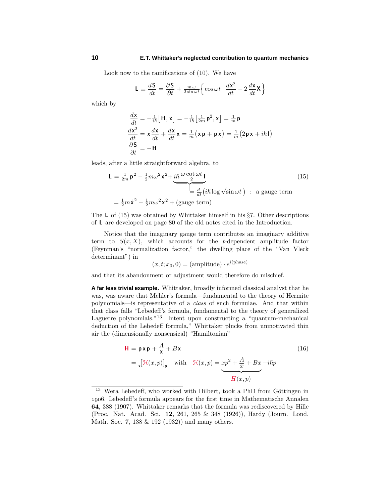Look now to the ramifications of  $(10)$ . We have

$$
\mathbf{L} \equiv \frac{d\mathbf{S}}{dt} = \frac{\partial \mathbf{S}}{\partial t} + \frac{m\,\omega}{2\sin\omega t} \Big\{ \cos\omega t \cdot \frac{d\mathbf{x}^2}{dt} - 2\frac{d\mathbf{x}}{dt} \mathbf{X} \Big\}
$$

which by

$$
\begin{aligned}\n\frac{d\mathbf{x}}{dt} &= -\frac{1}{i\hbar} \left[ \mathbf{H}, \mathbf{x} \right] = -\frac{1}{i\hbar} \left[ \frac{1}{2m} \mathbf{p}^2, \mathbf{x} \right] = \frac{1}{m} \mathbf{p} \\
\frac{d\mathbf{x}^2}{dt} &= \mathbf{x} \frac{d\mathbf{x}}{dt} + \frac{d\mathbf{x}}{dt} \mathbf{x} = \frac{1}{m} (\mathbf{x} \mathbf{p} + \mathbf{p} \mathbf{x}) = \frac{1}{m} (2 \mathbf{p} \mathbf{x} + i\hbar \mathbf{I}) \\
\frac{\partial \mathbf{S}}{\partial t} &= -\mathbf{H}\n\end{aligned}
$$

leads, after a little straightforward algebra, to

$$
\mathbf{L} = \frac{1}{2m} \mathbf{p}^2 - \frac{1}{2} m \omega^2 \mathbf{x}^2 + \underbrace{i \hbar \frac{\omega \cot \omega t}{2} \mathbf{I}}_{\mathbf{E} = \frac{d}{dt} (i \hbar \log \sqrt{\sin \omega t}) : \text{ a gauge term}}
$$
\n
$$
= \frac{1}{2} m \dot{\mathbf{x}}^2 - \frac{1}{2} m \omega^2 \mathbf{x}^2 + \text{(gauge term)}
$$
\n(15)

The L of  $(15)$  was obtained by Whittaker himself in his §7. Other descriptions of **L** are developed on page 80 of the old notes cited in the Introduction.

Notice that the imaginary gauge term contributes an imaginary additive term to  $S(x, X)$ , which accounts for the *t*-dependent amplitude factor (Feynman's "normalization factor," the dwelling place of the "Van Vleck determinant") in

$$
(x, t; x_0, 0) = (amplitude) \cdot e^{i(\text{phase})}
$$

and that its abandonment or adjustment would therefore do mischief.

**A far less trivial example.** Whittaker, broadly informed classical analyst that he was, was aware that Mehler's formula—fundamental to the theory of Hermite polynomials—is representative of a class of such formulae.And that within that class falls "Lebedeff's formula, fundamental to the theory of generalized Laguerre polynomials."<sup>13</sup> Intent upon constructing a "quantum-mechanical deduction of the Lebedeff formula," Whittaker plucks from unmotivated thin air the (dimensionally nonsensical) "Hamiltonian"

$$
\mathbf{H} = \mathbf{p} \times \mathbf{p} + \frac{A}{\mathbf{x}} + B \times
$$
\n
$$
= \left[ \mathcal{H}(x, p) \right]_{\mathbf{p}} \quad \text{with} \quad \mathcal{H}(x, p) = \underbrace{xp^2 + \frac{A}{x} + Bx - i\hbar p}_{H(x, p)}
$$
\n
$$
(16)
$$

 $13$  Wera Lebedeff, who worked with Hilbert, took a PhD from Göttingen in .Lebedeff's formula appears for the first time in Mathematische Annalen **64**, 388 (1907).Whittaker remarks that the formula was rediscovered by Hille (Proc. Nat. Acad. Sci. 12, 261, 265 & 348 (1926)), Hardy (Journ. Lond. Math.Soc. **7**, 138 & 192 (1932)) and many others.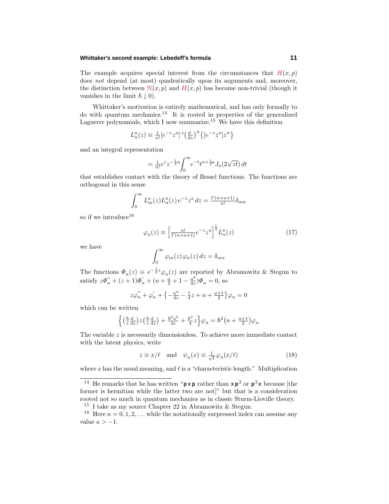## **Whittaker's second example: Lebedeff's formula 11**

The example acquires special interest from the circumstances that  $H(x, p)$ does not depend (at most) quadratically upon its arguments and, moreover, the distinction between  $\mathcal{H}(x, p)$  and  $H(x, p)$  has become non-trivial (though it vanishes in the limit  $\hbar \downarrow 0$ .

Whittaker's motivation is entirely mathematical, and has only formally to do with quantum mechanics.<sup>14</sup> It is rooted in properties of the generalized Laguerre polynomials, which I now summarize.<sup>15</sup> We have this definition

$$
L_n^a(z) \equiv \frac{1}{n!} [e^{-z} z^a]^{-1} \left(\frac{d}{dz}\right)^n \left\{ [e^{-z} z^a] z^n \right\}
$$

and an integral representation

$$
= \frac{1}{n!} e^{z} z^{-\frac{1}{2}a} \int_0^{\infty} e^{-t} t^{n+\frac{1}{2}a} J_a(2\sqrt{zt}) dt
$$

that establishes contact with the theory of Bessel functions.The functions are orthogonal in this sense

$$
\int_0^\infty L_m^a(z)L_n^a(z)e^{-z}z^a dz = \frac{\Gamma(n+a+1)}{n!} \delta_{mn}
$$

so if we introduce  $16$ 

$$
\varphi_n(z) \equiv \left[\frac{n!}{\Gamma(n+a+1)} e^{-z} z^a\right]^{\frac{1}{2}} L_n^a(z) \tag{17}
$$

we have

$$
\int_0^\infty \varphi_m(z)\varphi_n(z)\,dz = \delta_{mn}
$$

The functions  $\Phi_n(z) \equiv e^{-\frac{1}{2}z}\varphi_n(z)$  are reported by Abramowitz & Stegun to satisfy  $z\Phi_{n}'' + (z+1)\Phi_{n}' + (n+\frac{a}{2}+1-\frac{a^{2}}{4z})\Phi_{n} = 0$ , so

$$
z\varphi_{n}^{''}+\varphi_{n}^{'}+\left\{-\tfrac{a^{2}}{4z}-\tfrac{1}{4}z+n+\tfrac{a+1}{2}\right\}\varphi_{n}=0
$$

which can be written

$$
\left\{ \left( \frac{\hbar}{i} \frac{d}{dz} \right) z \left( \frac{\hbar}{i} \frac{d}{dz} \right) + \frac{\hbar^2 a^2}{4z} + \frac{\hbar^2}{4} z \right\} \varphi_n = \hbar^2 \left( n + \frac{a+1}{2} \right) \varphi_n
$$

The variable *z* is necessarily dimensionless.To achieve more immediate contact with the latent physics, write

$$
z \equiv x/\ell \quad \text{and} \quad \psi_n(x) \equiv \frac{1}{\sqrt{\ell}} \varphi_n(x/\ell) \tag{18}
$$

where  $x$  has the usual meaning, and  $\ell$  is a "characteristic length." Multiplication

<sup>&</sup>lt;sup>14</sup> He remarks that he has written " $\mathbf{p} \times \mathbf{p}$  rather than  $\mathbf{x} \mathbf{p}^2$  or  $\mathbf{p}^2 \times \mathbf{p}$  because [the former is hermitian while the latter two are not]" but that is a consideration rooted not so much in quantum mechanics as in classic Sturm-Lioville theory. <sup>15</sup> I take as my source Chapter 22 in Abramowitz & Stegun.

<sup>&</sup>lt;sup>16</sup> Here  $n = 0, 1, 2, \ldots$  while the notationally surpressed index can assume any value  $a > -1$ .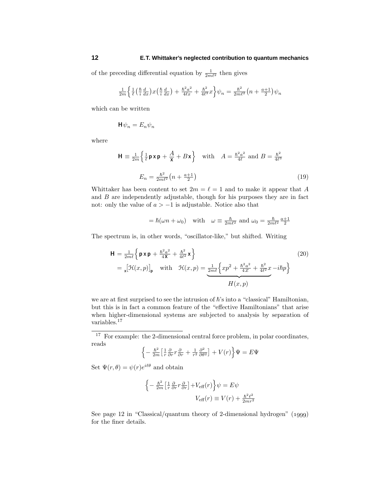of the preceding differential equation by  $\frac{1}{2m\ell^2}$  then gives

$$
\frac{1}{2m}\left\{\frac{1}{\ell}\left(\frac{\hbar}{i}\frac{d}{dx}\right)x\left(\frac{\hbar}{i}\frac{d}{dx}\right)+\frac{\hbar^2a^2}{4\ell x}+\frac{\hbar^2}{4\ell^3}x\right\}\psi_n=\frac{\hbar^2}{2m\ell^2}\left(n+\frac{a+1}{2}\right)\psi_n
$$

which can be written

$$
\mathsf{H}\psi_n = E_n \psi_n
$$

where

$$
\mathbf{H} \equiv \frac{1}{2m} \left\{ \frac{1}{\ell} \mathbf{p} \mathbf{x} \mathbf{p} + \frac{A}{\mathbf{x}} + B \mathbf{x} \right\} \quad \text{with} \quad A = \frac{\hbar^2 a^2}{4\ell} \text{ and } B = \frac{\hbar^2}{4\ell^3}
$$
\n
$$
E_n = \frac{\hbar^2}{2m\ell^2} \left( n + \frac{a+1}{2} \right) \tag{19}
$$

Whittaker has been content to set  $2m = \ell = 1$  and to make it appear that A and *B* are independently adjustable, though for his purposes they are in fact not: only the value of  $a > -1$  is adjustable. Notice also that

$$
=
$$
  $\hbar(\omega n + \omega_0)$  with  $\omega \equiv \frac{\hbar}{2m\ell^2}$  and  $\omega_0 = \frac{\hbar}{2m\ell^2} \frac{a+1}{2}$ 

The spectrum is, in other words, "oscillator-like," but shifted.Writing

$$
\mathbf{H} = \frac{1}{2m\ell} \left\{ \mathbf{p} \mathbf{x} \mathbf{p} + \frac{\hbar^2 a^2}{4\mathbf{X}} + \frac{\hbar^2}{4\ell^2} \mathbf{x} \right\}
$$
(20)  

$$
= \mathbf{x} \left[ \mathcal{H}(x, p) \right]_{\mathbf{p}} \quad \text{with} \quad \mathcal{H}(x, p) = \underbrace{\frac{1}{2m\ell} \left\{ xp^2 + \frac{\hbar^2 a^2}{4x} + \frac{\hbar^2}{4\ell^2} x - i\hbar p \right\}}_{H(x, p)}
$$

we are at first surprised to see the intrusion of  $\hbar$ 's into a "classical" Hamiltonian, but this is in fact a common feature of the "effective Hamiltonians" that arise when higher-dimensional systems are subjected to analysis by separation of variables.<sup>17</sup>

<sup>17</sup> For example: the 2-dimensional central force problem, in polar coordinates, reads

$$
\left\{-\frac{\hbar^2}{2m}\left[\frac{1}{r}\frac{\partial}{\partial r}r\frac{\partial}{\partial r} + \frac{1}{r^2}\frac{\partial^2}{\partial \theta^2}\right] + V(r)\right\}\Psi = E\Psi
$$

Set  $\Psi(r, \theta) = \psi(r)e^{i\theta}$  and obtain

$$
\left\{-\frac{\hbar^2}{2m}\left[\frac{1}{r}\frac{\partial}{\partial r}r\frac{\partial}{\partial r}\right] + V_{\text{eff}}(r)\right\}\psi = E\psi
$$

$$
V_{\text{eff}}(r) \equiv V(r) + \frac{\hbar^2 \ell^2}{2mr^2}
$$

See page 12 in "Classical/quantum theory of 2-dimensional hydrogen"  $(1999)$ for the finer details.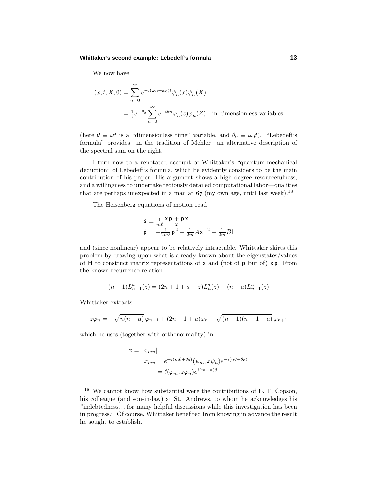#### **Whittaker's second example: Lebedeff's formula 13**

We now have

$$
(x, t; X, 0) = \sum_{n=0}^{\infty} e^{-i(\omega n + \omega_0)t} \psi_n(x) \psi_n(X)
$$

$$
= \frac{1}{\ell} e^{-\theta_0} \sum_{n=0}^{\infty} e^{-i\theta n} \varphi_n(z) \varphi_n(Z) \text{ in dimensionless variables}
$$

(here  $\theta \equiv \omega t$  is a "dimensionless time" variable, and  $\theta_0 \equiv \omega_0 t$ ). "Lebedeff's formula" provides—in the tradition of Mehler—an alternative description of the spectral sum on the right.

I turn now to a renotated account of Whittaker's "quantum-mechanical deduction" of Lebedeff's formula, which he evidently considers to be the main contribution of his paper. His argument shows a high degree resourcefulness, and a willingness to undertake tediously detailed computational labor—qualities that are perhaps unexpected in a man at  $67$  (my own age, until last week).<sup>18</sup>

The Heisenberg equations of motion read

$$
\begin{array}{l}\dot{\mathbf{x}} = \frac{1}{m\ell}\frac{\mathbf{x}\,\mathbf{p} + \mathbf{p}\,\mathbf{x}}{2} \\ \dot{\mathbf{p}} = -\frac{1}{2m\ell}\mathbf{p}^2 - \frac{1}{2m}A\mathbf{x}^{-2} - \frac{1}{2m}B\mathbf{I}\end{array}
$$

and (since nonlinear) appear to be relatively intractable.Whittaker skirts this problem by drawing upon what is already known about the eigenstates/values of **H** to construct matrix representations of **x** and (not of **p** but of) **x p**.From the known recurrence relation

$$
(n+1)L_{n+1}^a(z) = (2n+1+a-z)L_n^a(z) - (n+a)L_{n-1}^a(z)
$$

Whittaker extracts

$$
z\varphi_n = -\sqrt{n(n+a)}\,\varphi_{n-1} + (2n+1+a)\varphi_n - \sqrt{(n+1)(n+1+a)}\,\varphi_{n+1}
$$

which he uses (together with orthonormality) in

$$
\mathbf{x} = ||x_{mn}||
$$
  
\n
$$
x_{mn} = e^{+i(m\theta + \theta_0)} (\psi_m, x\psi_n) e^{-i(n\theta + \theta_0)}
$$
  
\n
$$
= \ell(\varphi_m, z\varphi_n) e^{i(m-n)\theta}
$$

<sup>18</sup> We cannot know how substantial were the contributions of E.T.Copson, his colleague (and son-in-law) at St. Andrews, to whom he acknowledges his "indebtedness*...* for many helpful discussions while this investigation has been in progress." Of course, Whittaker benefited from knowing in advance the result he sought to establish.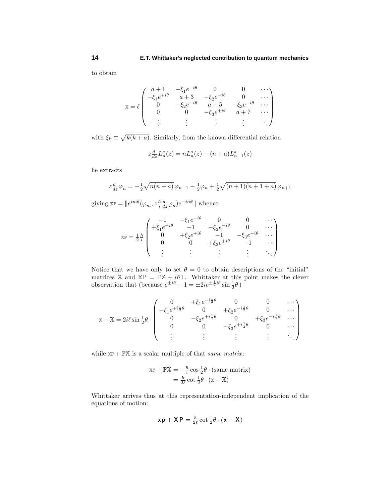to obtain

$$
\mathbf{x} = \ell \begin{pmatrix} a+1 & -\xi_1 e^{-i\theta} & 0 & 0 & \cdots \\ -\xi_1 e^{+i\theta} & a+3 & -\xi_2 e^{-i\theta} & 0 & \cdots \\ 0 & -\xi_2 e^{+i\theta} & a+5 & -\xi_3 e^{-i\theta} & \cdots \\ 0 & 0 & -\xi_3 e^{+i\theta} & a+7 & \cdots \\ \vdots & \vdots & \vdots & \vdots & \ddots \end{pmatrix}
$$

with  $\xi_k \equiv \sqrt{k(k+a)}$ . Similarly, from the known differential relation

$$
z\frac{d}{dz}L_n^a(z) = nL_n^a(z) - (n+a)L_{n-1}^a(z)
$$

he extracts

$$
z\frac{d}{dz}\varphi_n = -\frac{1}{2}\sqrt{n(n+a)}\varphi_{n-1} - \frac{1}{2}\varphi_n + \frac{1}{2}\sqrt{(n+1)(n+1+a)}\varphi_{n+1}
$$

giving  $\exp = ||e^{im\theta}(\varphi_m, z\frac{\hbar}{i}\frac{d}{dz}\varphi_n)e^{-in\theta}||$  whence

$$
\mathbb{X} \mathbb{P} = \frac{1}{2} \frac{\hbar}{i} \begin{pmatrix} -1 & -\xi_1 e^{-i\theta} & 0 & 0 & \cdots \\ +\xi_1 e^{+i\theta} & -1 & -\xi_2 e^{-i\theta} & 0 & \cdots \\ 0 & +\xi_2 e^{+i\theta} & -1 & -\xi_3 e^{-i\theta} & \cdots \\ 0 & 0 & +\xi_3 e^{+i\theta} & -1 & \cdots \\ \vdots & \vdots & \vdots & \vdots & \ddots \end{pmatrix}
$$

Notice that we have only to set  $\theta = 0$  to obtain descriptions of the "initial" matrices X and  $X\mathbb{P} = \mathbb{P}X + i\hbar\mathbb{I}$ . Whittaker at this point makes the clever observation that (because  $e^{\pm i\theta} - 1 = \pm 2i e^{\pm \frac{1}{2}i\theta} \sin \frac{1}{2}\theta$ )

$$
\mathbf{x} - \mathbf{X} = 2i\ell \sin \frac{1}{2}\theta \cdot \begin{pmatrix} 0 & +\xi_1 e^{-i\frac{1}{2}\theta} & 0 & 0 & \cdots \\ -\xi_1 e^{+i\frac{1}{2}\theta} & 0 & +\xi_2 e^{-i\frac{1}{2}\theta} & 0 & \cdots \\ 0 & -\xi_2 e^{+i\frac{1}{2}\theta} & 0 & +\xi_3 e^{-i\frac{1}{2}\theta} & \cdots \\ 0 & 0 & -\xi_3 e^{+i\frac{1}{2}\theta} & 0 & \cdots \\ \vdots & \vdots & \vdots & \vdots & \ddots \end{pmatrix}
$$

while  $\mathbb{X}^p + \mathbb{P} \mathbb{X}$  is a scalar multiple of that *same matrix*:

$$
\mathbb{XP} + \mathbb{PX} = -\frac{\hbar}{i}\cos\frac{1}{2}\theta \cdot (\text{same matrix})
$$

$$
= \frac{\hbar}{2\ell}\cot\frac{1}{2}\theta \cdot (\mathbb{X} - \mathbb{X})
$$

Whittaker arrives thus at this representation-independent implication of the equations of motion:

$$
x\,p + X\,P = \tfrac{\hbar}{2\ell}\cot\tfrac{1}{2}\theta\cdot(x-X)
$$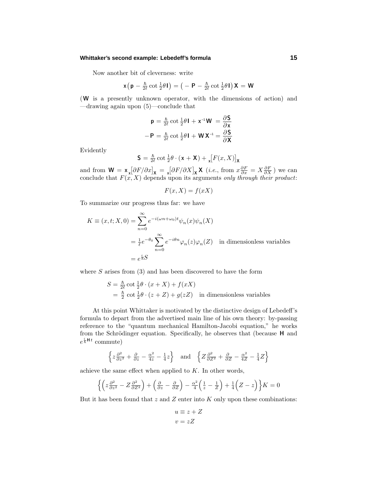## **Whittaker's second example: Lebedeff's formula 15**

Now another bit of cleverness: write

$$
\mathbf{x}\left(\mathbf{p}-\frac{\hbar}{2\ell}\cot\frac{1}{2}\theta\mathbf{I}\right)=\big(-\mathbf{P}-\frac{\hbar}{2\ell}\cot\frac{1}{2}\theta\mathbf{I}\big)\mathbf{X}=\mathbf{W}
$$

(**W** is a presently unknown operator, with the dimensions of action) and —drawing again upon (5)—conclude that

$$
\mathbf{p} = \frac{\hbar}{2\ell} \cot \frac{1}{2}\theta \mathbf{I} + \mathbf{x}^{-1} \mathbf{W} = \frac{\partial \mathbf{S}}{\partial \mathbf{x}}
$$

$$
-\mathbf{P} = \frac{\hbar}{2\ell} \cot \frac{1}{2}\theta \mathbf{I} + \mathbf{W} \mathbf{X}^{-1} = \frac{\partial \mathbf{S}}{\partial \mathbf{X}}
$$

Evidently

$$
\mathbf{S} = \tfrac{\hbar}{2\ell}\cot\tfrac{1}{2}\theta\cdot(\mathbf{x}+\mathbf{X}) + \mathrm{I}_{\mathbf{x}}[F(x,X)]_{\mathbf{X}}
$$

and from  $\mathbf{W} = \mathbf{x} \left[ \frac{\partial F}{\partial x} \right]_{\mathbf{x}} = \mathbf{x} \left[ \frac{\partial F}{\partial X} \right]_{\mathbf{x}} \mathbf{X}$  (*i.e.*, from  $x \frac{\partial F}{\partial x} = X \frac{\partial F}{\partial X}$ ) we can conclude that  $F(x, X)$  depends upon its arguments only through their product:

$$
F(x, X) = f(xX)
$$

To summarize our progress thus far: we have

$$
K \equiv (x, t; X, 0) = \sum_{n=0}^{\infty} e^{-i(\omega n + \omega_0)t} \psi_n(x) \psi_n(X)
$$
  
=  $\frac{1}{\ell} e^{-\theta_0} \sum_{n=0}^{\infty} e^{-i\theta n} \varphi_n(z) \varphi_n(Z)$  in dimensionless variables  
=  $e^{\frac{i}{\hbar}S}$ 

where *S* arises from (3) and has been discovered to have the form

$$
S = \frac{\hbar}{2\ell} \cot \frac{1}{2}\theta \cdot (x + X) + f(xX)
$$
  
=  $\frac{\hbar}{2} \cot \frac{1}{2}\theta \cdot (z + Z) + g(zZ)$  in dimensionless variables

At this point Whittaker is motivated by the distinctive design of Lebedeff's formula to depart from the advertised main line of his own theory: by-passing reference to the "quantum mechanical Hamilton-Jacobi equation," he works from the Schrödinger equation. Specifically, he observes that (because **H** and  $e^{\frac{i}{\hbar}Ht}$  commute)

$$
\left\{ z \frac{\partial^2}{\partial z^2} + \frac{\partial}{\partial z} - \frac{\alpha^2}{4z} - \frac{1}{4}z \right\} \text{ and } \left\{ Z \frac{\partial^2}{\partial Z^2} + \frac{\partial}{\partial Z} - \frac{\alpha^2}{4Z} - \frac{1}{4}Z \right\}
$$

achieve the same effect when applied to  $K$ . In other words,

$$
\left\{ \left( z \frac{\partial^2}{\partial z^2} - Z \frac{\partial^2}{\partial Z^2} \right) + \left( \frac{\partial}{\partial z} - \frac{\partial}{\partial Z} \right) - \frac{\alpha^2}{4} \left( \frac{1}{z} - \frac{1}{Z} \right) + \frac{1}{4} \left( Z - z \right) \right\} K = 0
$$

But it has been found that *z* and *Z* enter into *K* only upon these combinations:

$$
u \equiv z + Z
$$

$$
v = zZ
$$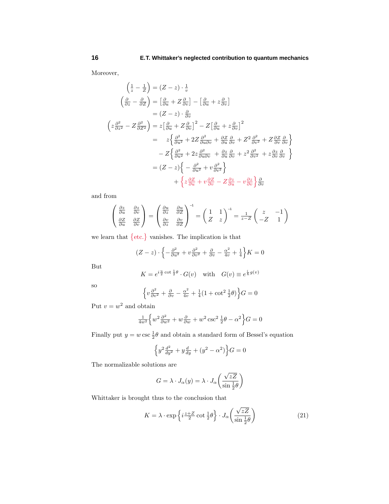Moreover,

$$
\left(\frac{1}{z} - \frac{1}{Z}\right) = (Z - z) \cdot \frac{1}{v}
$$
\n
$$
\left(\frac{\partial}{\partial z} - \frac{\partial}{\partial Z}\right) = \left[\frac{\partial}{\partial u} + Z\frac{\partial}{\partial v}\right] - \left[\frac{\partial}{\partial u} + z\frac{\partial}{\partial v}\right]
$$
\n
$$
= (Z - z) \cdot \frac{\partial}{\partial v}
$$
\n
$$
\left(z\frac{\partial^2}{\partial z^2} - Z\frac{\partial^2}{\partial Z^2}\right) = z\left[\frac{\partial}{\partial u} + Z\frac{\partial}{\partial v}\right]^2 - Z\left[\frac{\partial}{\partial u} + z\frac{\partial}{\partial v}\right]^2
$$
\n
$$
= z\left\{\frac{\partial^2}{\partial u^2} + 2Z\frac{\partial^2}{\partial u \partial v} + \frac{\partial Z}{\partial u}\frac{\partial}{\partial v} + Z^2\frac{\partial^2}{\partial v^2} + Z\frac{\partial Z}{\partial v}\frac{\partial}{\partial v}\right\}
$$
\n
$$
- Z\left\{\frac{\partial^2}{\partial u^2} + 2z\frac{\partial^2}{\partial u \partial v} + \frac{\partial z}{\partial u}\frac{\partial}{\partial v} + z^2\frac{\partial^2}{\partial v^2} + z\frac{\partial z}{\partial v}\frac{\partial}{\partial v}\right\}
$$
\n
$$
= (Z - z)\left\{-\frac{\partial^2}{\partial u^2} + v\frac{\partial^2}{\partial v^2}\right\}
$$
\n
$$
+ \left\{z\frac{\partial Z}{\partial u} + v\frac{\partial Z}{\partial v} - Z\frac{\partial z}{\partial u} - v\frac{\partial z}{\partial v}\right\}\frac{\partial}{\partial v}
$$

and from

$$
\begin{pmatrix}\n\frac{\partial z}{\partial u} & \frac{\partial z}{\partial v} \\
\frac{\partial z}{\partial u} & \frac{\partial z}{\partial v}\n\end{pmatrix} = \begin{pmatrix}\n\frac{\partial u}{\partial z} & \frac{\partial u}{\partial z} \\
\frac{\partial v}{\partial z} & \frac{\partial v}{\partial z}\n\end{pmatrix}^{-1} = \begin{pmatrix}\n1 & 1 \\
Z & z\n\end{pmatrix}^{-1} = \frac{1}{z - Z} \begin{pmatrix}\nz & -1 \\
-Z & 1\n\end{pmatrix}
$$

we learn that  $\{etc.\}$  vanishes. The implication is that

$$
(Z-z)\cdot \left\{-\frac{\partial^2}{\partial u^2} + v\frac{\partial^2}{\partial v^2} + \frac{\partial}{\partial v} - \frac{\alpha^2}{4v} + \frac{1}{4}\right\}K = 0
$$

But

$$
K = e^{i\frac{u}{2}\cot\frac{1}{2}\theta} \cdot G(v) \quad \text{with} \quad G(v) \equiv e^{\frac{i}{\hbar}g(v)}
$$

so

$$
\left\{v\frac{\partial^2}{\partial v^2}+\frac{\partial}{\partial v}-\frac{\alpha^2}{4v}+\frac{1}{4}(1+\cot^2 \frac{1}{2}\theta)\right\}G=0
$$

Put  $v = w^2$  and obtain

$$
\frac{1}{4w^2} \left\{ w^2 \frac{\partial^2}{\partial w^2} + w \frac{\partial}{\partial w} + w^2 \csc^2 \frac{1}{2} \theta - \alpha^2 \right\} G = 0
$$

Finally put  $y = w \csc \frac{1}{2}\theta$  and obtain a standard form of Bessel's equation

$$
\left\{y^2 \tfrac{d^2}{dy^2} + y \tfrac{d}{dy} + (y^2 - \alpha^2)\right\} G = 0
$$

The normalizable solutions are

$$
G = \lambda \cdot J_{\alpha}(y) = \lambda \cdot J_{\alpha}\left(\frac{\sqrt{zZ}}{\sin \frac{1}{2}\theta}\right)
$$

Whittaker is brought thus to the conclusion that

$$
K = \lambda \cdot \exp\left\{ i^{\frac{z+Z}{2}} \cot \frac{1}{2} \theta \right\} \cdot J_{\alpha}\left(\frac{\sqrt{zZ}}{\sin \frac{1}{2} \theta}\right)
$$
 (21)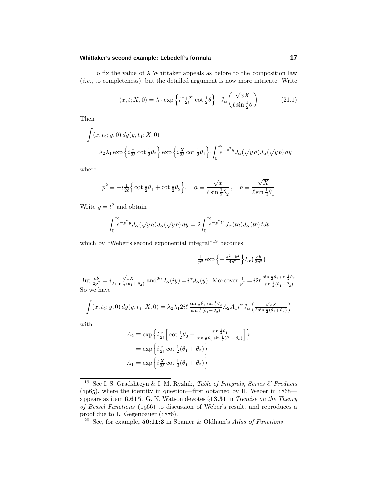## **Whittaker's second example: Lebedeff's formula 17**

To fix the value of  $\lambda$  Whittaker appeals as before to the composition law  $(i.e., to completeness)$ , but the detailed argument is now more intricate. Write

$$
(x, t; X, 0) = \lambda \cdot \exp\left\{i\frac{x+X}{2\ell} \cot\frac{1}{2}\theta\right\} \cdot J_{\alpha}\left(\frac{\sqrt{xX}}{\ell \sin\frac{1}{2}\theta}\right)
$$
(21.1)

Then

$$
\int (x, t_2; y, 0) dy(y, t_1; X, 0)
$$
  
=  $\lambda_2 \lambda_1 \exp \left\{ i \frac{x}{2\ell} \cot \frac{1}{2} \theta_2 \right\} \exp \left\{ i \frac{X}{2\ell} \cot \frac{1}{2} \theta_1 \right\} \cdot \int_0^\infty e^{-p^2 y} J_\alpha(\sqrt{y} a) J_\alpha(\sqrt{y} b) dy$ 

where

$$
p^2 \equiv -i\frac{1}{2\ell} \Big\{ \cot \frac{1}{2}\theta_1 + \cot \frac{1}{2}\theta_2 \Big\}, \quad a \equiv \frac{\sqrt{x}}{\ell \sin \frac{1}{2}\theta_2}, \quad b \equiv \frac{\sqrt{X}}{\ell \sin \frac{1}{2}\theta_1}
$$

Write  $y = t^2$  and obtain

$$
\int_0^{\infty} e^{-p^2 y} J_{\alpha}(\sqrt{y} a) J_{\alpha}(\sqrt{y} b) dy = 2 \int_0^{\infty} e^{-p^2 t^2} J_{\alpha}(t a) J_{\alpha}(t b) t dt
$$

which by "Weber's second exponential integral"<sup>19</sup> becomes

$$
= \frac{1}{p^2} \exp \left\{-\frac{a^2 + b^2}{4p^2}\right\} I_\alpha\left(\frac{ab}{2p^2}\right)
$$

But  $\frac{ab}{2p^2} = i \frac{\sqrt{xX}}{\ell \sin \frac{1}{2}(\theta_1)}$  $\frac{\sqrt{xX}}{\ell \sin \frac{1}{2}(\theta_1 + \theta_2)}$  and <sup>20</sup>  $I_\alpha(iy) = i^\alpha J_\alpha(y)$ . Moreover  $\frac{1}{p^2} = i2\ell \frac{\sin \frac{1}{2}\theta_1 \sin \frac{1}{2}\theta_2}{\sin \frac{1}{2}(\theta_1 + \theta_2)}$  $\frac{\sin \frac{1}{2} \theta_1 \sin \frac{1}{2} \theta_2}{\sin \frac{1}{2} (\theta_1 + \theta_2)}$ . So we have

$$
\int (x,t_2;y,0)\,dy(y,t_1;X,0)=\lambda_2\lambda_12i\ell\,\frac{\sin\frac12\theta_1\sin\frac12\theta_2}{\sin\frac12(\theta_1+\theta_2)}A_2A_1i^\alpha J_\alpha\Big(\frac{\sqrt{xX}}{\ell\sin\frac12(\theta_1+\theta_2)}\Big)
$$

with

$$
A_2 \equiv \exp\left\{i\frac{x}{2\ell} \left[\cot\frac{1}{2}\theta_2 - \frac{\sin\frac{1}{2}\theta_1}{\sin\frac{1}{2}\theta_2 \sin\frac{1}{2}(\theta_1 + \theta_2)}\right]\right\}
$$
  
= 
$$
\exp\left\{i\frac{x}{2\ell} \cot\frac{1}{2}(\theta_1 + \theta_2)\right\}
$$
  

$$
A_1 = \exp\left\{i\frac{x}{2\ell} \cot\frac{1}{2}(\theta_1 + \theta_2)\right\}
$$

<sup>&</sup>lt;sup>19</sup> See I. S. Gradshteyn & I. M. Ryzhik, *Table of Integrals, Series & Products*  $(1965)$ , where the identity in question—first obtained by H. Weber in  $1868$  appears as item **6.615**.G.N.Watson devotes §**13.31** in Treatise on the Theory of Bessel Functions (1966) to discussion of Weber's result, and reproduces a proof due to L. Gegenbauer  $(1876)$ .

<sup>20</sup> See, for example, **50:11:3** in Spanier & Oldham's Atlas of Functions.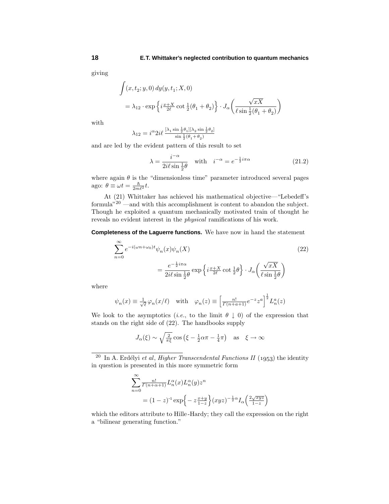giving

$$
\int (x, t_2; y, 0) dy(y, t_1; X, 0)
$$
  
=  $\lambda_{12} \cdot \exp \left\{ i \frac{x + X}{2\ell} \cot \frac{1}{2} (\theta_1 + \theta_2) \right\} \cdot J_\alpha \left( \frac{\sqrt{xX}}{\ell \sin \frac{1}{2} (\theta_1 + \theta_2)} \right)$ 

with

$$
\lambda_{12}=i^{\alpha}2i\ell\,\tfrac{[\lambda_1\sin{\frac{1}{2}\theta_1}][\lambda_2\sin{\frac{1}{2}\theta_2}]}{\sin{\frac{1}{2}(\theta_1+\theta_2)}}
$$

and are led by the evident pattern of this result to set

$$
\lambda = \frac{i^{-\alpha}}{2i\ell \sin \frac{1}{2}\theta} \quad \text{with} \quad i^{-\alpha} = e^{-\frac{1}{2}i\pi\alpha} \tag{21.2}
$$

where again  $\theta$  is the "dimensionless time" parameter introduced several pages ago:  $\theta \equiv \omega t = \frac{\hbar}{2m\ell^2}t$ .

At (21) Whittaker has achieved his mathematical objective—"Lebedeff's formula"<sup>20</sup> —and with this accomplishment is content to abandon the subject. Though he exploited a quantum mechanically motivated train of thought he reveals no evident interest in the physical ramifications of his work.

**Completeness of the Laguerre functions.** We have now in hand the statement

$$
\sum_{n=0}^{\infty} e^{-i(\omega n + \omega_0)t} \psi_n(x) \psi_n(X)
$$
\n
$$
= \frac{e^{-\frac{1}{2}i\pi\alpha}}{2i\ell \sin\frac{1}{2}\theta} \exp\left\{i\frac{x+X}{2\ell} \cot\frac{1}{2}\theta\right\} \cdot J_\alpha\left(\frac{\sqrt{xX}}{\ell \sin\frac{1}{2}\theta}\right)
$$
\n(22)

where

$$
\psi_n(x) \equiv \frac{1}{\sqrt{\ell}} \varphi_n(x/\ell)
$$
 with  $\varphi_n(z) \equiv \left[ \frac{n!}{\Gamma(n+a+1)} e^{-z} z^a \right]^{\frac{1}{2}} L_n^a(z)$ 

We look to the asymptotics (*i.e.*, to the limit  $\theta \downarrow 0$ ) of the expression that stands on the right side of (22). The handbooks supply

$$
J_{\alpha}(\xi) \sim \sqrt{\frac{2}{\pi \xi}} \cos \left(\xi - \frac{1}{2}\alpha \pi - \frac{1}{4}\pi\right)
$$
 as  $\xi \to \infty$ 

<sup>20</sup> In A. Erdélyi et al, *Higher Transcendental Functions II* (1953) the identity in question is presented in this more symmetric form

$$
\sum_{n=0}^{\infty} \frac{n!}{\Gamma(n+\alpha+1)} L_n^{\alpha}(x) L_n^{\alpha}(y) z^n
$$
  
=  $(1-z)^{-1} \exp\left\{-z \frac{x+y}{1-z}\right\} (xyz)^{-\frac{1}{2}\alpha} I_{\alpha}\left(\frac{2\sqrt{xyz}}{1-z}\right)$ 

which the editors attribute to Hille-Hardy; they call the expression on the right a "bilinear generating function."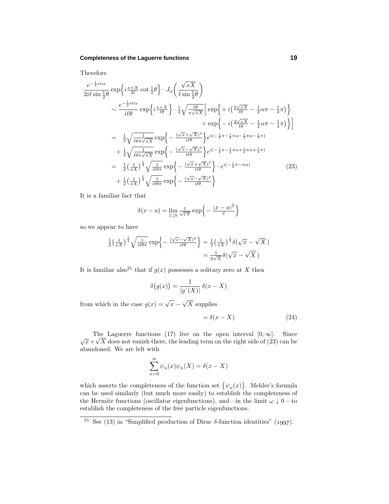## **Completeness of the Laguerre functions 19**

Therefore

$$
\frac{e^{-\frac{1}{2}i\pi\alpha}}{2i\ell\sin\frac{1}{2}\theta} \exp\left\{i\frac{x+X}{2\ell}\cot\frac{1}{2}\theta\right\} \cdot J_{\alpha}\left(\frac{\sqrt{xX}}{\ell\sin\frac{1}{2}\theta}\right)
$$
\n
$$
\sim \frac{e^{-\frac{1}{2}i\pi\alpha}}{i\ell\theta} \exp\left\{i\frac{x+X}{\ell\theta}\right\} \cdot \frac{1}{2}\sqrt{\frac{\ell\theta}{\pi\sqrt{xX}}}\left[\exp\left\{+i\left(\frac{2\sqrt{xX}}{\ell\theta}-\frac{1}{2}\alpha\pi-\frac{1}{4}\pi\right)\right\}
$$
\n
$$
+\exp\left\{-i\left(\frac{2\sqrt{xX}}{\ell\theta}-\frac{1}{2}\alpha\pi-\frac{1}{4}\pi\right)\right\}\right]
$$
\n
$$
=\frac{1}{2}\sqrt{\frac{1}{\ell\theta\pi\sqrt{xX}}}\exp\left\{-\frac{(\sqrt{x}+\sqrt{X})^2}{i\ell\theta}\right\}e^{i(-\frac{1}{2}\pi-\frac{1}{2}\pi\alpha-\frac{1}{2}\pi\alpha-\frac{1}{4}\pi)}
$$
\n
$$
+\frac{1}{2}\sqrt{\frac{1}{\ell\theta\pi\sqrt{xX}}}\exp\left\{-\frac{(\sqrt{x}-\sqrt{X})^2}{i\ell\theta}\right\}e^{i(-\frac{1}{2}\pi-\frac{1}{2}\pi\alpha+\frac{1}{2}\pi\alpha+\frac{1}{4}\pi)}
$$
\n
$$
=\frac{1}{2}\left(\frac{1}{xX}\right)^{\frac{1}{4}}\sqrt{\frac{1}{i\ell\theta\pi}}\exp\left\{-\frac{(\sqrt{x}+\sqrt{X})^2}{i\ell\theta}\right\} \cdot e^{i(-\frac{1}{2}\pi-\pi\alpha)}\tag{23}
$$
\n
$$
+\frac{1}{2}\left(\frac{1}{xX}\right)^{\frac{1}{4}}\sqrt{\frac{1}{i\ell\theta\pi}}\exp\left\{-\frac{(\sqrt{x}-\sqrt{X})^2}{i\ell\theta}\right\}
$$

It is a familiar fact that

$$
\delta(x-a) = \lim_{\varepsilon \downarrow 0} \frac{1}{\sqrt{\varepsilon \pi}} \exp \left\{-\frac{(x-a)^2}{\varepsilon}\right\}
$$

so we appear to have

$$
\frac{1}{2} \left(\frac{1}{xX}\right)^{\frac{1}{4}} \sqrt{\frac{1}{i\ell\theta\pi}} \exp\left\{-\frac{(\sqrt{x}-\sqrt{X})^2}{i\ell\theta}\right\} = \frac{1}{2} \left(\frac{1}{xX}\right)^{\frac{1}{4}} \delta(\sqrt{x}-\sqrt{X})
$$

$$
= \frac{1}{2\sqrt{X}} \delta(\sqrt{x}-\sqrt{X})
$$

It is familiar also<sup>21</sup> that if  $g(x)$  possesses a solitary zero at *X* then

$$
\delta\big(g(x)\big) = \frac{1}{|g'(X)|} \,\delta(x - X)
$$

from which in the case  $g(x) = \sqrt{x} - \sqrt{X}$  supplies

$$
= \delta(x - X) \tag{24}
$$

The Laguerre functions (17) live on the open interval  $[0, \infty]$ . Since The Laguerre functions (17) live on the open interval  $[0, \infty]$ . Since  $\sqrt{x} + \sqrt{X}$  does not vanish there, the leading term on the right side of (23) can be abandoned. We are left with

$$
\sum_{n=0}^{\infty} \psi_n(x)\psi_n(X) = \delta(x - X)
$$

which asserts the completeness of the function set  $\{\psi_n(x)\}\$ . Mehler's formula can be used similarly (but much more easily) to establish the completeness of the Hermite functions (oscillator eigenfunctions), and—in the limit  $\omega \downarrow 0$ —to establish the completeness of the free particle eigenfunctions.

<sup>&</sup>lt;sup>21</sup> See (13) in "Simplified production of Dirac  $\delta$ -function identities" (1997).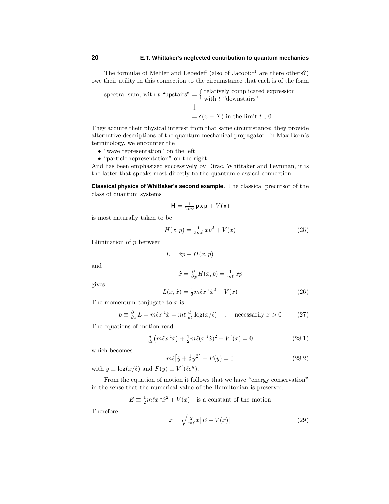The formulæ of Mehler and Lebedeff (also of Jacobi: $^{11}$  are there others?) owe their utility in this connection to the circumstance that each is of the form

spectral sum, with  $t$  "upstairs" =  $\begin{cases}$  relatively complicated expression with  $t$  "downstairs" ↓  $= \delta(x - X)$  in the limit  $t \downarrow 0$ 

They acquire their physical interest from that same circumstance: they provide alternative descriptions of the quantummechanical propagator. In Max Born's terminology, we encounter the

- "wave representation" on the left
- "particle representation" on the right

And has been emphasized successively by Dirac, Whittaker and Feynman, it is the latter that speaks most directly to the quantum-classical connection.

**Classical physics of Whittaker's second example.** The classical precursor of the class of quantum systems

$$
\mathbf{H} = \tfrac{1}{2m\ell}\mathbf{p}\,\mathbf{x}\,\mathbf{p} + V(\mathbf{x})
$$

is most naturally taken to be

$$
H(x,p) = \frac{1}{2m\ell} x p^2 + V(x)
$$
 (25)

Elimination of *p* between

$$
L = \dot{x}p - H(x, p)
$$

and

$$
\dot{x} = \frac{\partial}{\partial p}H(x, p) = \frac{1}{m\ell}xp
$$

gives

$$
L(x, \dot{x}) = \frac{1}{2}m\ell x^{-1}\dot{x}^2 - V(x)
$$
\n(26)

The momentum conjugate to *x* is

$$
p \equiv \frac{\partial}{\partial \dot{x}} L = m \ell x^{-1} \dot{x} = m \ell \frac{d}{dt} \log(x/\ell) \quad : \quad \text{necessarily } x > 0 \tag{27}
$$

The equations of motion read

$$
\frac{d}{dt}\left(m\ell x^{-1}\dot{x}\right) + \frac{1}{2}m\ell(x^{-1}\dot{x})^2 + V'(x) = 0\tag{28.1}
$$

which becomes

$$
m\ell[\ddot{y} + \frac{1}{2}\dot{y}^2] + F(y) = 0
$$
\n(28.2)

with  $y \equiv \log(x/\ell)$  and  $F(y) \equiv V'(\ell e^y)$ .

Fromthe equation of motion it follows that we have "energy conservation" in the sense that the numerical value of the Hamiltonian is preserved:

$$
E \equiv \frac{1}{2}m\ell x^{-1}\dot{x}^2 + V(x)
$$
 is a constant of the motion

Therefore

$$
\dot{x} = \sqrt{\frac{2}{m\ell}x\left[E - V(x)\right]}
$$
\n(29)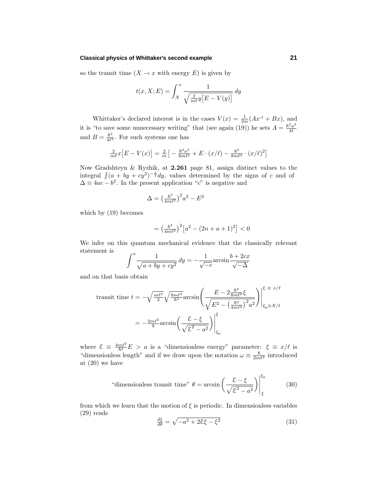## **Classical physics of Whittaker's second example 21**

so the transit time  $(X \to x$  with energy  $E$ ) is given by

$$
t(x, X; E) = \int_{X}^{x} \frac{1}{\sqrt{\frac{2}{m\ell}y\left[E - V(y)\right]}} dy
$$

Whittaker's declared interest is in the cases  $V(x) = \frac{1}{2m}(Ax^{-1} + Bx)$ , and it is "to save some unnecessary writing" that (see again (19)) he sets  $A = \frac{\hbar^2 a^2}{4\ell}$ and  $B = \frac{\hbar^2}{4\ell^3}$ . For such systems one has

$$
\frac{2}{m\ell}x\left[E - V(x)\right] = \frac{2}{m}\left[-\frac{\hbar^2 a^2}{8m\ell^2} + E \cdot (x/\ell) - \frac{\hbar^2}{8m\ell^2} \cdot (x/\ell)^2\right]
$$

Now Gradshteyn & Ryzhik, at **2.261** page 81, assign distinct values to the integral  $\int (a + by + cy^2)^{-\frac{1}{2}} dy$ , values determined by the signs of *c* and of  $\Delta \equiv 4ac - b^2$ . In the present application "*c*" is negative and

$$
\Delta = \left(\frac{\hbar^2}{4m\ell^2}\right)^2 a^2 - E^2
$$

which by (19) becomes

$$
= \left(\frac{\hbar^2}{4m\ell^2}\right)^2 \left[a^2 - (2n + a + 1)^2\right] < 0
$$

We infer on this quantum mechanical evidence that the classically relevant statement is

$$
\int^x \frac{1}{\sqrt{a + by + cy^2}} dy = -\frac{1}{\sqrt{-c}} \arcsin \frac{b + 2cx}{\sqrt{-\Delta}}
$$

and on that basis obtain

$$
\text{transit time } t = -\sqrt{\frac{m\ell^2}{2}} \sqrt{\frac{8m\ell^2}{\hbar^2}} \arcsin\left(\frac{E - 2\frac{\hbar^2}{8m\ell^2}\xi}{\sqrt{E^2 - \left(\frac{\hbar^2}{4m\ell^2}\right)^2 a^2}}\right) \Big|_{\xi_0 = X/\ell}^{\xi = x/\ell}
$$
\n
$$
= -\frac{2m\ell^2}{\hbar} \arcsin\left(\frac{\mathcal{E} - \xi}{\sqrt{\mathcal{E}^2 - a^2}}\right) \Big|_{\xi_0}^{\xi}
$$

where  $\mathcal{E} \equiv \frac{4m\ell^2}{\hbar^2}E > a$  is a "dimensionless energy" parameter:  $\xi \equiv x/\ell$  is "dimensionless length" and if we draw upon the notation  $\omega \equiv \frac{\hbar}{2m\ell^2}$  introduced at (20) we have

"dimensionless transit time" 
$$
\theta = \arcsin\left(\frac{\mathcal{E} - \xi}{\sqrt{\mathcal{E}^2 - a^2}}\right)\Big|_{\xi}^{\xi_0}
$$
 (30)

from which we learn that the motion of  $\xi$  is periodic. In dimensionless variables (29) reads

$$
\frac{d\xi}{d\theta} = \sqrt{-a^2 + 2\mathcal{E}\xi - \xi^2} \tag{31}
$$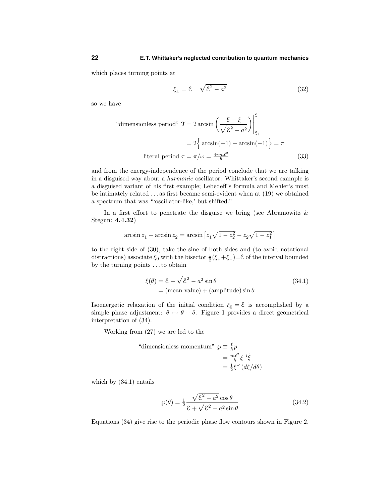which places turning points at

$$
\xi_{\pm} = \mathcal{E} \pm \sqrt{\mathcal{E}^2 - a^2} \tag{32}
$$

so we have

"dimensionless period" 
$$
\mathcal{T} = 2 \arcsin \left( \frac{\mathcal{E} - \xi}{\sqrt{\mathcal{E}^2 - a^2}} \right) \Big|_{\xi_+}^{\xi_-}
$$
  
=  $2 \left\{ \arcsin(+1) - \arcsin(-1) \right\} = \pi$   
literal period  $\tau = \pi/\omega = \frac{4\pi m \ell^2}{\hbar}$  (33)

and from the energy-independence of the period conclude that we are talking in a disguised way about a harmonic oscillator: Whittaker's second example is a disguised variant of his first example; Lebedeff's formula and Mehler's must be intimately related *...* as first became semi-evident when at (19) we obtained a spectrum that was "'oscillator-like,' but shifted."

In a first effort to penetrate the disguise we bring (see Abramowitz  $\&$ Stegun: **4.4.32**)

$$
\arcsin z_1 - \arcsin z_2 = \arcsin \left[ z_1 \sqrt{1 - z_2^2} - z_2 \sqrt{1 - z_1^2} \right]
$$

to the right side of (30), take the sine of both sides and (to avoid notational distractions) associate  $\xi_0$  with the bisector  $\frac{1}{2}(\xi_+ + \xi_-) = \mathcal{E}$  of the interval bounded by the turning points *...*to obtain

$$
\xi(\theta) = \mathcal{E} + \sqrt{\mathcal{E}^2 - a^2} \sin \theta
$$
\n
$$
= (\text{mean value}) + (\text{amplitude}) \sin \theta
$$
\n(34.1)

Isoenergetic relaxation of the initial condition  $\xi_0 = \mathcal{E}$  is accomplished by a simple phase adjustment:  $\theta \mapsto \theta + \delta$ . Figure 1 provides a direct geometrical interpretation of (34).

Working from(27) we are led to the

"dimensionless momentum" 
$$
\varphi \equiv \frac{\ell}{\hbar} p
$$

$$
= \frac{m\ell^2}{\hbar} \xi^{-1} \dot{\xi}
$$

$$
= \frac{1}{2} \xi^{-1} (d\xi/d\theta)
$$

which by (34.1) entails

$$
\wp(\theta) = \frac{1}{2} \frac{\sqrt{\mathcal{E}^2 - a^2} \cos \theta}{\mathcal{E} + \sqrt{\mathcal{E}^2 - a^2} \sin \theta}
$$
(34.2)

Equations (34) give rise to the periodic phase flow contours shown in Figure 2.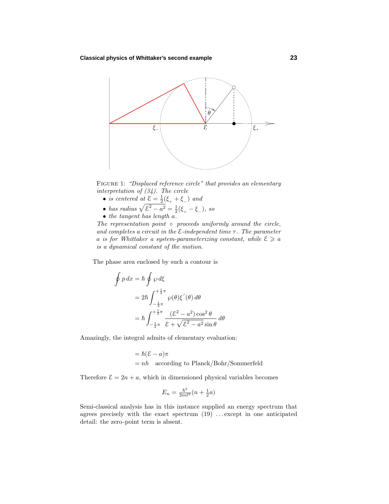## **Classical physics of Whittaker's second example 23**



FIGURE 1: "Displaced reference circle" that provides an elementary interpretation of (34). The circle

- *is centered at*  $\underline{\mathcal{E}} = \frac{1}{2}(\xi_+ + \xi_-)$  *and*
- has radius  $\sqrt{\mathcal{E}^2 a^2} = \frac{1}{2}(\xi_+ \xi_-)$ , so
- the tangent has length *a*.

 $\oint$ 

The representation point  $\circ$  proceeds uniformly around the circle, and completes a circuit in the  $\epsilon$ -independent time  $\tau$ . The parameter *a* is for Whittaker a system-parameterizing constant, while  $\mathcal{E} \geq a$ is a dynamical constant of the motion.

The phase area enclosed by such a contour is

$$
p dx = \hbar \oint \wp d\xi
$$
  
=  $2\hbar \int_{-\frac{1}{2}\pi}^{+\frac{1}{2}\pi} \wp(\theta) \xi'(\theta) d\theta$   
=  $\hbar \int_{-\frac{1}{2}\pi}^{+\frac{1}{2}\pi} \frac{(\mathcal{E}^2 - a^2) \cos^2 \theta}{\mathcal{E} + \sqrt{\mathcal{E}^2 - a^2} \sin \theta} d\theta$ 

Amazingly, the integral admits of elementary evaluation:

= 
$$
\hbar(\mathcal{E} - a)\pi
$$
  
= nh according to Planck/Bohr/Sommerfeld

Therefore  $\mathcal{E} = 2n + a$ , which in dimensioned physical variables becomes

$$
E_n = \frac{\hbar^2}{2m\ell^2} \left(n + \frac{1}{2}a\right)
$$

Semi-classical analysis has in this instance supplied an energy spectrum that agrees precisely with the exact spectrum(19) *...* except in one anticipated detail: the zero-point termis absent.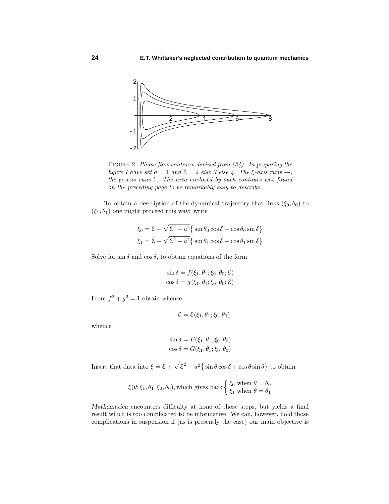

FIGURE 2: Phase flow contours derived from  $(34)$ . In preparing the figure I have set  $a = 1$  and  $\mathcal{E} = 2$  else 3 else 4. The  $\xi$ -axis runs  $\rightarrow$ , the *℘*-axis runs ↑. The area enclosed by such contours was found on the preceding page to be remarkably easy to describe.

To obtain a description of the dynamical trajectory that links  $(\xi_0, \theta_0)$  to  $(\xi_1, \theta_1)$  one might proceed this way: write

$$
\xi_0 = \mathcal{E} + \sqrt{\mathcal{E}^2 - a^2} \{ \sin \theta_0 \cos \delta + \cos \theta_0 \sin \delta \}
$$
  

$$
\xi_1 = \mathcal{E} + \sqrt{\mathcal{E}^2 - a^2} \{ \sin \theta_1 \cos \delta + \cos \theta_1 \sin \delta \}
$$

Solve for sin  $\delta$  and cos  $\delta$ , to obtain equations of the form

$$
\sin \delta = f(\xi_1, \theta_1; \xi_0, \theta_0; \mathcal{E})
$$

$$
\cos \delta = g(\xi_1, \theta_1; \xi_0, \theta_0; \mathcal{E})
$$

From  $f^2 + g^2 = 1$  obtain whence

$$
\mathcal{E} = \mathcal{E}(\xi_1, \theta_1; \xi_0, \theta_0)
$$

whence

$$
\sin \delta = F(\xi_1, \theta_1; \xi_0, \theta_0)
$$

$$
\cos \delta = G(\xi_1, \theta_1; \xi_0, \theta_0)
$$

Insert that data into  $\xi = \mathcal{E} + \sqrt{\mathcal{E}^2 - a^2} \sin \theta \cos \theta + \cos \theta \sin \theta$  to obtain

$$
\xi(\theta; \xi_1, \theta_1, \xi_0, \theta_0),
$$
 which gives back 
$$
\begin{cases} \xi_0 & \text{when } \theta = \theta_0 \\ \xi_1 & \text{when } \theta = \theta_1 \end{cases}
$$

*Mathematica* encounters difficulty at none of those steps, but yields a final result which is too complicated to be informative. We can, however, hold those complications in suspension if (as is presently the case) our main objective is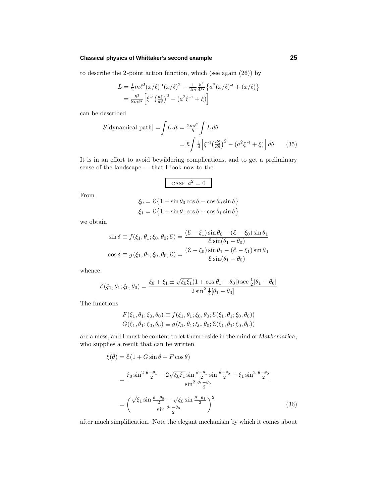## **Classical physics of Whittaker's second example 25**

to describe the 2-point action function, which (see again (26)) by

$$
L = \frac{1}{2}m\ell^2(x/\ell)^{-1}(\dot{x}/\ell)^2 - \frac{1}{2m}\frac{\hbar^2}{4\ell^2}\left\{a^2(x/\ell)^{-1} + (x/\ell)\right\}
$$
  
= 
$$
\frac{\hbar^2}{8m\ell^2}\left[\xi^{-1}\left(\frac{d\xi}{d\theta}\right)^2 - \left(a^2\xi^{-1} + \xi\right)\right]
$$

can be described

$$
S[\text{dynamical path}] = \int L \, dt = \frac{2m\ell^2}{\hbar} \int L \, d\theta
$$

$$
= \hbar \int \frac{1}{4} \left[ \xi^{-1} \left( \frac{d\xi}{d\theta} \right)^2 - \left( a^2 \xi^{-1} + \xi \right) \right] d\theta \qquad (35)
$$

It is in an effort to avoid bewildering complications, and to get a preliminary sense of the landscape *...*that I look now to the

CASE 
$$
a^2 = 0
$$

From

$$
\xi_0 = \mathcal{E}\left\{1 + \sin\theta_0 \cos\delta + \cos\theta_0 \sin\delta\right\}
$$

$$
\xi_1 = \mathcal{E}\left\{1 + \sin\theta_1 \cos\delta + \cos\theta_1 \sin\delta\right\}
$$

we obtain

$$
\sin \delta \equiv f(\xi_1, \theta_1; \xi_0, \theta_0; \mathcal{E}) = \frac{(\mathcal{E} - \xi_1) \sin \theta_0 - (\mathcal{E} - \xi_0) \sin \theta_1}{\mathcal{E} \sin(\theta_1 - \theta_0)}
$$

$$
\cos \delta \equiv g(\xi_1, \theta_1; \xi_0, \theta_0; \mathcal{E}) = \frac{(\mathcal{E} - \xi_0) \sin \theta_1 - (\mathcal{E} - \xi_1) \sin \theta_0}{\mathcal{E} \sin(\theta_1 - \theta_0)}
$$

whence

$$
\mathcal{E}(\xi_1, \theta_1; \xi_0, \theta_0) = \frac{\xi_0 + \xi_1 \pm \sqrt{\xi_0 \xi_1} (1 + \cos[\theta_1 - \theta_0]) \sec \frac{1}{2} [\theta_1 - \theta_0]}{2 \sin^2 \frac{1}{2} [\theta_1 - \theta_0]}
$$

The functions

$$
F(\xi_1, \theta_1; \xi_0, \theta_0) \equiv f(\xi_1, \theta_1; \xi_0, \theta_0; \mathcal{E}(\xi_1, \theta_1; \xi_0, \theta_0))
$$
  

$$
G(\xi_1, \theta_1; \xi_0, \theta_0) \equiv g(\xi_1, \theta_1; \xi_0, \theta_0; \mathcal{E}(\xi_1, \theta_1; \xi_0, \theta_0))
$$

are a mess, and I must be content to let them reside in the mind of *Mathematica*, who supplies a result that can be written

$$
\xi(\theta) = \mathcal{E}(1 + G\sin\theta + F\cos\theta)
$$
  
= 
$$
\frac{\xi_0 \sin^2 \frac{\theta - \theta_1}{2} - 2\sqrt{\xi_0 \xi_1} \sin \frac{\theta - \theta_1}{2} \sin \frac{\theta - \theta_0}{2} + \xi_1 \sin^2 \frac{\theta - \theta_0}{2}}{\sin^2 \frac{\theta_1 - \theta_0}{2}}
$$
  
= 
$$
\left(\frac{\sqrt{\xi_1} \sin \frac{\theta - \theta_0}{2} - \sqrt{\xi_0} \sin \frac{\theta - \theta_1}{2}}{\sin \frac{\theta_1 - \theta_0}{2}}\right)^2
$$
(36)

after much simplification. Note the elegant mechanism by which it comes about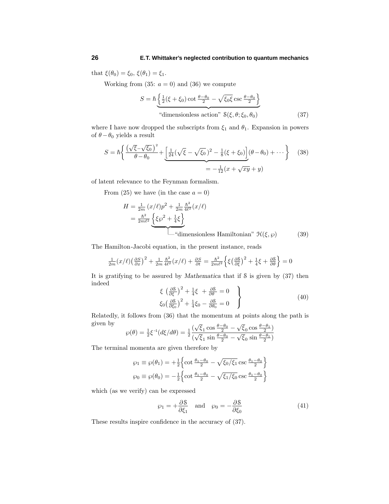that  $\xi(\theta_0) = \xi_0$ ,  $\xi(\theta_1) = \xi_1$ .

Working from (35:  $a = 0$ ) and (36) we compute

$$
S = \hbar \underbrace{\left\{ \frac{1}{2} (\xi + \xi_0) \cot \frac{\theta - \theta_0}{2} - \sqrt{\xi_0 \xi} \csc \frac{\theta - \theta_0}{2} \right\}}_{\text{"dimensionless action" } \delta(\xi, \theta; \xi_0, \theta_0)}
$$
(37)

where I have now dropped the subscripts from  $\xi_1$  and  $\theta_1$ . Expansion in powers of  $\theta - \theta_0$  yields a result

$$
S = \hbar \left\{ \frac{\left(\sqrt{\xi} - \sqrt{\xi_0}\right)^2}{\theta - \theta_0} + \underbrace{\left[\frac{1}{24}\left(\sqrt{\xi} - \sqrt{\xi_0}\right)^2 - \frac{1}{8}(\xi + \xi_0)\right]}_{=-\frac{1}{12}(x + \sqrt{xy} + y)}\right\} \tag{38}
$$

of latent relevance to the Feynman formalism.

From (25) we have (in the case  $a = 0$ )

$$
H = \frac{1}{2m} (x/\ell)p^2 + \frac{1}{2m} \frac{\hbar^2}{4\ell^2} (x/\ell)
$$
  
=  $\frac{\hbar^2}{2m\ell^2} \left\{ \xi \wp^2 + \frac{1}{4}\xi \right\}$   
"dimensionless Hamiltonian"  $\mathcal{H}(\xi, \wp)$  (39)

The Hamilton-Jacobi equation, in the present instance, reads

$$
\frac{1}{2m}(x/\ell)\left(\frac{\partial S}{\partial x}\right)^2 + \frac{1}{2m}\frac{\hbar^2}{4\ell^2}(x/\ell) + \frac{\partial S}{\partial t} = \frac{\hbar^2}{2m\ell^2}\left\{\xi\left(\frac{\partial S}{\partial \xi}\right)^2 + \frac{1}{4}\xi + \frac{\partial S}{\partial \theta}\right\} = 0
$$

It is gratifying to be assured by *Mathematica* that if S is given by (37) then indeed

$$
\xi \left(\frac{\partial \mathcal{S}}{\partial \xi}\right)^2 + \frac{1}{4}\xi + \frac{\partial \mathcal{S}}{\partial \theta} = 0
$$
\n
$$
\xi_0 \left(\frac{\partial \mathcal{S}}{\partial \xi_0}\right)^2 + \frac{1}{4}\xi_0 - \frac{\partial \mathcal{S}}{\partial \theta_0} = 0
$$
\n(40)

Relatedly, it follows from (36) that the momentum at points along the path is given by

$$
\wp(\theta) = \frac{1}{2}\xi^{-1}(d\xi/d\theta) = \frac{1}{2}\frac{(\sqrt{\xi_1}\cos\frac{\theta-\theta_0}{2} - \sqrt{\xi_0}\cos\frac{\theta-\theta_1}{2})}{(\sqrt{\xi_1}\sin\frac{\theta-\theta_0}{2} - \sqrt{\xi_0}\sin\frac{\theta-\theta_1}{2})}
$$

The terminal momenta are given therefore by

$$
\wp_1 \equiv \wp(\theta_1) = +\frac{1}{2} \left\{ \cot \frac{\theta_1 - \theta_0}{2} - \sqrt{\xi_0/\xi_1} \csc \frac{\theta_1 - \theta_0}{2} \right\}
$$

$$
\wp_0 \equiv \wp(\theta_0) = -\frac{1}{2} \left\{ \cot \frac{\theta_1 - \theta_0}{2} - \sqrt{\xi_1/\xi_0} \csc \frac{\theta_1 - \theta_0}{2} \right\}
$$

which (as we verify) can be expressed

$$
\wp_1 = +\frac{\partial \mathcal{S}}{\partial \xi_1} \quad \text{and} \quad \wp_0 = -\frac{\partial \mathcal{S}}{\partial \xi_0} \tag{41}
$$

These results inspire confidence in the accuracy of (37).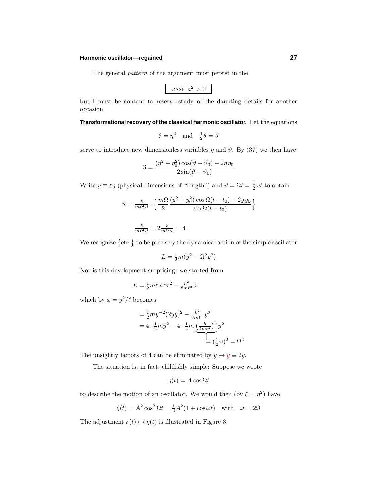## **Harmonic oscillator—regained 27**

The general pattern of the argument must persist in the

CASE 
$$
a^2 > 0
$$

but I must be content to reserve study of the daunting details for another occasion.

**Transformational recovery of the classical harmonic oscillator.** Let the equations

$$
\xi = \eta^2
$$
 and  $\frac{1}{2}\theta = \vartheta$ 

serve to introduce new dimensionless variables  $\eta$  and  $\vartheta$ . By (37) we then have

$$
\mathcal{S} = \frac{(\eta^2 + \eta_0^2)\cos(\vartheta - \vartheta_0) - 2\eta\eta_0}{2\sin(\vartheta - \vartheta_0)}
$$

Write  $y \equiv \ell \eta$  (physical dimensions of "length") and  $\vartheta = \Omega t = \frac{1}{2}\omega t$  to obtain

$$
S = \frac{\hbar}{m\ell^2\Omega} \cdot \left\{ \frac{m\Omega}{2} \frac{(y^2 + y_0^2)\cos\Omega(t - t_0) - 2yy_0}{\sin\Omega(t - t_0)} \right\}
$$

$$
\tfrac{\hbar}{m\ell^2\Omega}=2\tfrac{\hbar}{m\ell^2\omega}=4
$$

We recognize  $\{\text{etc.}\}$  to be precisely the dynamical action of the simple oscillator

$$
L = \frac{1}{2}m(\dot{y}^2 - \Omega^2 y^2)
$$

Nor is this development surprising: we started from

$$
L = \frac{1}{2}m\ell x^{-1}\dot{x}^2 - \frac{\hbar^2}{8m\ell^3}x
$$

which by  $x = y^2/\ell$  becomes

$$
= \frac{1}{2}my^{-2}(2y\dot{y})^2 - \frac{\hbar^2}{8m\ell^4}y^2
$$
  
=  $4 \cdot \frac{1}{2}my^2 - 4 \cdot \frac{1}{2}m\left(\frac{\hbar}{4m\ell^2}\right)^2 y^2$   
=  $(\frac{1}{2}\omega)^2 = \Omega^2$ 

The unsightly factors of 4 can be eliminated by  $y \mapsto y \equiv 2y$ .

The situation is, in fact, childishly simple: Suppose we wrote

$$
\eta(t) = A \cos \Omega t
$$

to describe the motion of an oscillator. We would then (by  $\xi = \eta^2$ ) have

$$
\xi(t) = A^2 \cos^2 \Omega t = \frac{1}{2}A^2(1 + \cos \omega t) \quad \text{with} \quad \omega = 2\Omega
$$

The adjustment  $\xi(t) \mapsto \eta(t)$  is illustrated in Figure 3.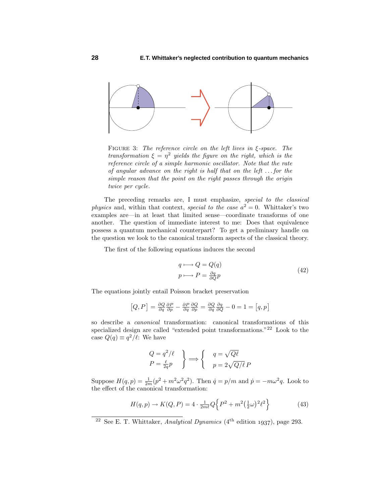

Figure 3: The reference circle on the left lives in *ξ*-space. The transformation  $\xi = \eta^2$  yields the figure on the right, which is the reference circle of a simple harmonic oscillator. Note that the rate of angular advance on the right is half that on the left *...* for the simple reason that the point on the right passes through the origin twice per cycle.

The preceding remarks are, I must emphasize, special to the classical *physics* and, within that context, *special to the case*  $a^2 = 0$ . Whittaker's two examples are—in at least that limited sense—coordinate transforms of one another. The question of immediate interest to me: Does that equivalence possess a quantum mechanical counterpart? To get a preliminary handle on the question we look to the canonical transformaspects of the classical theory.

The first of the following equations induces the second

$$
q \longmapsto Q = Q(q)
$$
  
\n
$$
p \longmapsto P = \frac{\partial q}{\partial Q}p
$$
\n(42)

The equations jointly entail Poisson bracket preservation

$$
[Q, P] = \frac{\partial Q}{\partial q} \frac{\partial P}{\partial p} - \frac{\partial P}{\partial q} \frac{\partial Q}{\partial p} = \frac{\partial Q}{\partial q} \frac{\partial q}{\partial Q} - 0 = 1 = [q, p]
$$

so describe a canonical transformation: canonical transformations of this specialized design are called "extended point transformations."<sup>22</sup> Look to the case  $Q(q) \equiv q^2/\ell$ : We have

$$
\begin{aligned}\nQ &= q^2/\ell \\
P &= \frac{\ell}{2q}p\n\end{aligned}\n\right\} \Longrightarrow\n\begin{cases}\nq = \sqrt{Q\ell} \\
p = 2\sqrt{Q/\ell}P\n\end{cases}
$$

Suppose  $H(q, p) = \frac{1}{2m}(p^2 + m^2\omega^2 q^2)$ . Then  $\dot{q} = p/m$  and  $\dot{p} = -m\omega^2 q$ . Look to the effect of the canonical transformation:

$$
H(q, p) \to K(Q, P) = 4 \cdot \frac{1}{2m\ell} Q \left\{ P^2 + m^2 \left( \frac{1}{2} \omega \right)^2 \ell^2 \right\} \tag{43}
$$

<sup>&</sup>lt;sup>22</sup> See E. T. Whittaker, *Analytical Dynamics* ( $4<sup>th</sup>$  edition 1937), page 293.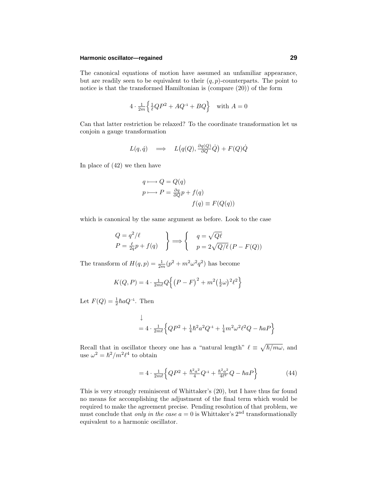## **Harmonic oscillator—regained 29**

The canonical equations of motion have assumed an unfamiliar appearance, but are readily seen to be equivalent to their  $(q, p)$ -counterparts. The point to notice is that the transformed Hamiltonian is (compare (20)) of the form

$$
4 \cdot \frac{1}{2m} \left\{ \frac{1}{\ell} QP^2 + AQ^{-1} + BQ \right\} \quad \text{with } A = 0
$$

Can that latter restriction be relaxed? To the coordinate transformation let us conjoin a gauge transformation

$$
L(q, \dot{q}) \quad \Longrightarrow \quad L\big(q(Q), \frac{\partial q(Q)}{\partial Q} \dot{Q}\big) + F(Q)\dot{Q}
$$

In place of (42) we then have

$$
q \longmapsto Q = Q(q)
$$
  
\n
$$
p \longmapsto P = \frac{\partial q}{\partial Q} p + f(q)
$$
  
\n
$$
f(q) \equiv F(Q(q))
$$

which is canonical by the same argument as before. Look to the case

$$
\begin{aligned}\nQ &= q^2/\ell \\
P &= \frac{\ell}{2q}p + f(q)\n\end{aligned}\n\right\} \Longrightarrow\n\begin{cases}\nq = \sqrt{Q\ell} \\
p = 2\sqrt{Q/\ell} (P - F(Q))\n\end{cases}
$$

The transform of  $H(q, p) = \frac{1}{2m}(p^2 + m^2\omega^2 q^2)$  has become

$$
K(Q, P) = 4 \cdot \frac{1}{2m\ell} Q \left\{ (P - F)^{2} + m^{2} (\frac{1}{2}\omega)^{2} \ell^{2} \right\}
$$

Let  $F(Q) = \frac{1}{2} \hbar a Q^{-1}$ . Then

$$
\downarrow
$$
  
=  $4 \cdot \frac{1}{2m\ell} \left\{ QP^2 + \frac{1}{4}\hbar^2 a^2 Q^{-1} + \frac{1}{4}m^2 \omega^2 \ell^2 Q - \hbar a P \right\}$ 

Recall that in oscillator theory one has a "natural length"  $\ell \equiv \sqrt{\hbar/m\omega}$ , and use  $\omega^2 = \hbar^2/m^2\ell^4$  to obtain

$$
=4 \cdot \frac{1}{2m\ell} \left\{ QP^2 + \frac{\hbar^2 a^2}{4} Q^{-1} + \frac{\hbar^2 a^2}{4\ell^2} Q - \hbar a P \right\} \tag{44}
$$

This is very strongly reminiscent of Whittaker's (20), but I have thus far found no means for accomplishing the adjustment of the final term which would be required to make the agreement precise. Pending resolution of that problem, we must conclude that only in the case  $a = 0$  is Whittaker's  $2<sup>nd</sup>$  transformationally equivalent to a harmonic oscillator.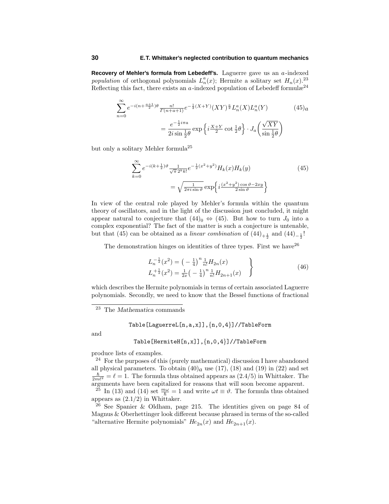**Recovery of Mehler's formula from Lebedeff's.** Laguerre gave us an *a*-indexed population of orthogonal polynomials  $L_n^a(x)$ ; Hermite a solitary set  $H_n(x)$ .<sup>23</sup> Reflecting this fact, there exists an  $a$ -indexed population of Lebedeff formul $x^{24}$ 

$$
\sum_{n=0}^{\infty} e^{-i(n+\frac{a+1}{2})\theta} \frac{n!}{\Gamma(n+a+1)} e^{-\frac{1}{2}(X+Y)} (XY)^{\frac{a}{2}} L_n^a(X) L_n^a(Y) \qquad (45)_a
$$

$$
= \frac{e^{-\frac{1}{2}i\pi a}}{2i\sin\frac{1}{2}\theta} \exp\left\{i\frac{X+Y}{2}\cot\frac{1}{2}\theta\right\} \cdot J_a\left(\frac{\sqrt{XY}}{\sin\frac{1}{2}\theta}\right)
$$

but only a solitary Mehler formula<sup>25</sup>

$$
\sum_{k=0}^{\infty} e^{-i(k+\frac{1}{2})\vartheta} \frac{1}{\sqrt{\pi} 2^k k!} e^{-\frac{1}{2}(x^2+y^2)} H_k(x) H_k(y)
$$
(45)  

$$
= \sqrt{\frac{1}{2\pi i \sin \vartheta}} \exp\left\{i \frac{(x^2+y^2)\cos \vartheta - 2xy}{2\sin \vartheta}\right\}
$$

In view of the central role played by Mehler's formula within the quantum theory of oscillators, and in the light of the discussion just concluded, it might appear natural to conjecture that  $(44)_{0} \Leftrightarrow (45)$ . But how to turn  $J_0$  into a complex exponential? The fact of the matter is such a conjecture is untenable, but that (45) can be obtained as a *linear combination* of  $(44)_{+\frac{1}{2}}$  and  $(44)_{-\frac{1}{2}}$ !

The demonstration hinges on identities of three types. First we have  $2^6$ 

$$
L_{n}^{-\frac{1}{2}}(x^{2}) = \left(-\frac{1}{4}\right)^{n} \frac{1}{n!} H_{2n}(x)
$$
  
\n
$$
L_{n}^{+\frac{1}{2}}(x^{2}) = \frac{1}{2x} \left(-\frac{1}{4}\right)^{n} \frac{1}{n!} H_{2n+1}(x)
$$
\n(46)

which describes the Hermite polynomials in terms of certain associated Laguerre polynomials. Secondly, we need to know that the Bessel functions of fractional

Table[LaguerreL[n,a,x]],{n,0,4}]//TableForm

and

## Table[HermiteH[n,x]],{n,0,4}]//TableForm

produce lists of examples.

 $^{24}$  For the purposes of this (purely mathematical) discussion I have abandoned all physical parameters. To obtain  $(40)<sub>a</sub>$  use  $(17)$ ,  $(18)$  and  $(19)$  in  $(22)$  and set  $\frac{\hbar^2}{2m\ell^2} = \ell = 1$ . The formula thus obtained appears as  $(2.4/5)$  in Whittaker. The arguments have been capitalized for reasons that will soon become apparent.

<sup>25</sup> In (13) and (14) set  $\frac{m\omega}{\hbar} = 1$  and write  $\omega t \equiv \vartheta$ . The formula thus obtained appears as  $(2.1/2)$  in Whittaker.

<sup>26</sup> See Spanier & Oldham, page 215. The identities given on page 84 of Magnus & Oberhettinger look different because phrased in terms of the so-called "alternative Hermite polynomials"  $He_{2n}(x)$  and  $He_{2n+1}(x)$ .

<sup>23</sup> The *Mathematica* commands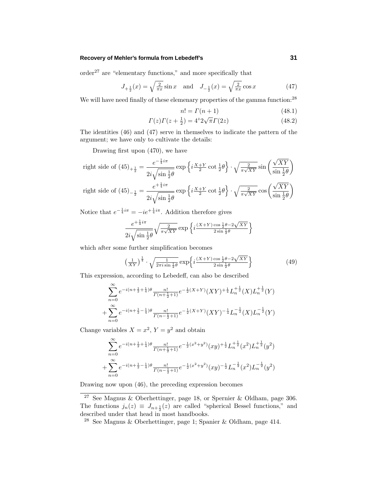## **Recovery of Mehler's formula from Lebedeff's 31**

 $\sigma$ order<sup>27</sup> are "elementary functions," and more specifically that

$$
J_{+\frac{1}{2}}(x) = \sqrt{\frac{2}{\pi x}} \sin x \quad \text{and} \quad J_{-\frac{1}{2}}(x) = \sqrt{\frac{2}{\pi x}} \cos x \tag{47}
$$

We will have need finally of these elemenary properties of the gamma function:<sup>28</sup>

$$
n! = \Gamma(n+1) \tag{48.1}
$$

$$
\Gamma(z)\Gamma(z+\frac{1}{2}) = 4^z 2\sqrt{\pi}\Gamma(2z)
$$
 (48.2)

The identities (46) and (47) serve in themselves to indicate the pattern of the argument; we have only to cultivate the details:

Drawing first upon (470), we have

right side of 
$$
(45)_{+\frac{1}{2}} = \frac{e^{-\frac{1}{4}i\pi}}{2i\sqrt{\sin{\frac{1}{2}}\theta}} \exp\left\{i\frac{X+Y}{2}\cot{\frac{1}{2}}\theta\right\} \cdot \sqrt{\frac{2}{\pi\sqrt{XY}}}\sin\left(\frac{\sqrt{XY}}{\sin{\frac{1}{2}}\theta}\right)
$$
  
right side of  $(45)_{-\frac{1}{2}} = \frac{e^{+\frac{1}{4}i\pi}}{2i\sqrt{\sin{\frac{1}{2}}\theta}} \exp\left\{i\frac{X+Y}{2}\cot{\frac{1}{2}}\theta\right\} \cdot \sqrt{\frac{2}{\pi\sqrt{XY}}}\cos\left(\frac{\sqrt{XY}}{\sin{\frac{1}{2}}\theta}\right)$ 

Notice that  $e^{-\frac{1}{4}i\pi} = -ie^{+\frac{1}{4}i\pi}$ . Addition therefore gives

$$
\frac{e^{+\frac{1}{4}i\pi}}{2i\sqrt{\sin\tfrac{1}{2}\theta}}\sqrt{\tfrac{2}{\pi\sqrt{XY}}}\exp\Big\{i\frac{(X+Y)\cos\frac{1}{2}\theta-2\sqrt{XY}}{2\sin\frac{1}{2}\theta}\Big\}
$$

which after some further simplification becomes

$$
\left(\frac{1}{XY}\right)^{\frac{1}{4}} \cdot \sqrt{\frac{1}{2\pi i \sin \frac{1}{2}\theta}} \exp\left\{i\frac{(X+Y)\cos \frac{1}{2}\theta - 2\sqrt{XY}}{2\sin \frac{1}{2}\theta}\right\} \tag{49}
$$

This expression, according to Lebedeff, can also be described

$$
\sum_{n=0}^{\infty} e^{-i(n+\frac{1}{2}+\frac{1}{4})\theta} \frac{n!}{\Gamma(n+\frac{1}{2}+1)} e^{-\frac{1}{2}(X+Y)} (XY)^{\frac{1}{4}} L_n^{\frac{1}{4}} (X) L_n^{\frac{1}{4}} (Y) + \sum_{n=0}^{\infty} e^{-i(n+\frac{1}{2}-\frac{1}{4})\theta} \frac{n!}{\Gamma(n-\frac{1}{2}+1)} e^{-\frac{1}{2}(X+Y)} (XY)^{\frac{1}{4}} L_n^{-\frac{1}{2}} (X) L_n^{-\frac{1}{2}} (Y)
$$

Change variables  $X = x^2$ ,  $Y = y^2$  and obtain

$$
\sum_{n=0}^{\infty} e^{-i(n+\frac{1}{2}+\frac{1}{4})\theta} \frac{n!}{\Gamma(n+\frac{1}{2}+1)} e^{-\frac{1}{2}(x^2+y^2)}(xy)^{\frac{1}{2}} L_n^{\frac{1}{2}}(x^2) L_n^{\frac{1}{2}}(y^2) +\sum_{n=0}^{\infty} e^{-i(n+\frac{1}{2}-\frac{1}{4})\theta} \frac{n!}{\Gamma(n-\frac{1}{2}+1)} e^{-\frac{1}{2}(x^2+y^2)}(xy)^{\frac{1}{2}} L_n^{-\frac{1}{2}}(x^2) L_n^{-\frac{1}{2}}(y^2)
$$

Drawing now upon (46), the preceding expression becomes

<sup>27</sup> See Magnus & Oberhettinger, page 18, or Spernier & Oldham, page 306. The functions  $j_n(z) \equiv J_{n+\frac{1}{2}}(z)$  are called "spherical Bessel functions," and described under that head in most handbooks.

<sup>28</sup> See Magnus & Oberhettinger, page 1; Spanier & Oldham, page 414.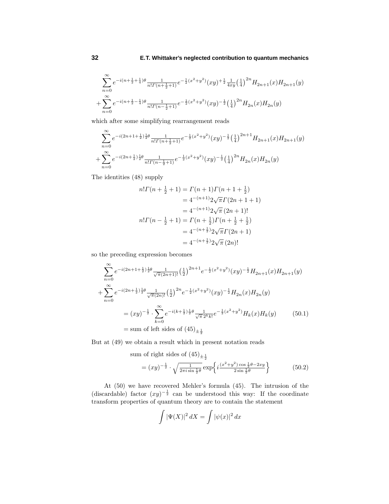$$
\begin{aligned} &\sum_{n=0}^{\infty}e^{-i(n+\frac{1}{2}+\frac{1}{4})\theta}\frac{1}{n!\Gamma(n+\frac{1}{2}+1)}e^{-\frac{1}{2}(x^2+y^2)}(xy)^{+\frac{1}{2}}\frac{1}{4xy}\left(\frac{1}{4}\right)^{2n}H_{2n+1}(x)H_{2n+1}(y)\\ &+\sum_{n=0}^{\infty}e^{-i(n+\frac{1}{2}-\frac{1}{4})\theta}\frac{1}{n!\Gamma(n-\frac{1}{2}+1)}e^{-\frac{1}{2}(x^2+y^2)}(xy)^{-\frac{1}{2}}\left(\frac{1}{4}\right)^{2n}H_{2n}(x)H_{2n}(y) \end{aligned}
$$

which after some simplifying rearrangement reads

$$
\begin{aligned} &\sum_{n=0}^{\infty}e^{-i(2n+1+\frac{1}{2})\frac{1}{2}\theta}\frac{1}{n!\Gamma(n+\frac{1}{2}+1)}e^{-\frac{1}{2}(x^2+y^2)}(xy)^{-\frac{1}{2}}\big(\frac{1}{4}\big)^{2n+1}H_{2n+1}(x)H_{2n+1}(y)\\ &+\sum_{n=0}^{\infty}e^{-i(2n+\frac{1}{2})\frac{1}{2}\theta}\frac{1}{n!\Gamma(n-\frac{1}{2}+1)}e^{-\frac{1}{2}(x^2+y^2)}(xy)^{-\frac{1}{2}}\big(\frac{1}{4}\big)^{2n}H_{2n}(x)H_{2n}(y) \end{aligned}
$$

The identities (48) supply

$$
n!\Gamma(n+\frac{1}{2}+1) = \Gamma(n+1)\Gamma(n+1+\frac{1}{2})
$$
  
=  $4^{-(n+1)}2\sqrt{\pi}\Gamma(2n+1+1)$   
=  $4^{-(n+1)}2\sqrt{\pi}(2n+1)!$   
 $n!\Gamma(n-\frac{1}{2}+1) = \Gamma(n+\frac{1}{2})\Gamma(n+\frac{1}{2}+\frac{1}{2})$   
=  $4^{-(n+\frac{1}{2})}2\sqrt{\pi}\Gamma(2n+1)$   
=  $4^{-(n+\frac{1}{2})}2\sqrt{\pi}(2n)!$ 

so the preceding expression becomes

$$
\sum_{n=0}^{\infty} e^{-i(2n+1+\frac{1}{2})\frac{1}{2}\theta} \frac{1}{\sqrt{\pi}(2n+1)!} \left(\frac{1}{2}\right)^{2n+1} e^{-\frac{1}{2}(x^2+y^2)} (xy)^{-\frac{1}{2}} H_{2n+1}(x) H_{2n+1}(y)
$$
  
+
$$
\sum_{n=0}^{\infty} e^{-i(2n+\frac{1}{2})\frac{1}{2}\theta} \frac{1}{\sqrt{\pi}(2n)!} \left(\frac{1}{2}\right)^{2n} e^{-\frac{1}{2}(x^2+y^2)} (xy)^{-\frac{1}{2}} H_{2n}(x) H_{2n}(y)
$$
  
=
$$
(xy)^{-\frac{1}{2}} \cdot \sum_{k=0}^{\infty} e^{-i(k+\frac{1}{2})\frac{1}{2}\theta} \frac{1}{\sqrt{\pi} 2^k k!} e^{-\frac{1}{2}(x^2+y^2)} H_k(x) H_k(y)
$$
(50.1)  
= sum of left sides of (45) $\pm \frac{1}{2}$ 

But at (49) we obtain a result which in present notation reads

sum of right sides of 
$$
(45)_{\pm \frac{1}{2}}
$$
  
=  $(xy)^{-\frac{1}{2}} \cdot \sqrt{\frac{1}{2\pi i \sin \frac{1}{2}\theta}} \exp\left\{i\frac{(x^2+y^2)\cos \frac{1}{2}\theta - 2xy}{2\sin \frac{1}{2}\theta}\right\}$  (50.2)

At (50) we have recovered Mehler's formula (45). The intrusion of the (discardable) factor  $(xy)^{-\frac{1}{2}}$  can be understood this way: If the coordinate transform properties of quantum theory are to contain the statement

$$
\int |\Psi(X)|^2 \, dX = \int |\psi(x)|^2 \, dx
$$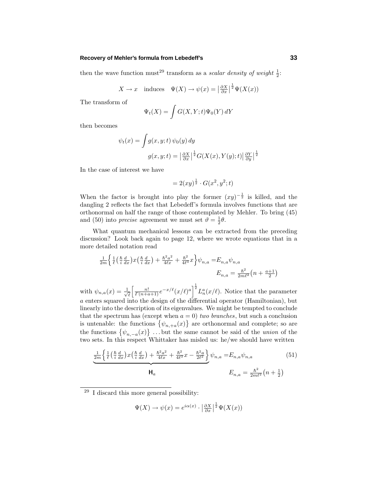## **Recovery of Mehler's formula from Lebedeff's 33**

then the wave function must<sup>29</sup> transform as a *scalar density of weight*  $\frac{1}{2}$ :

$$
X \to x
$$
 induces  $\Psi(X) \to \psi(x) = \left| \frac{\partial X}{\partial x} \right|^{\frac{1}{2}} \Psi(X(x))$ 

The transform of

$$
\Psi_t(X) = \int G(X, Y; t) \Psi_0(Y) dY
$$

then becomes

$$
\psi_t(x) = \int g(x, y; t) \psi_0(y) dy
$$

$$
g(x, y; t) = \left| \frac{\partial X}{\partial x} \right|^{\frac{1}{2}} G(X(x), Y(y); t) \left| \frac{\partial Y}{\partial y} \right|^{\frac{1}{2}}
$$

In the case of interest we have

$$
= 2(xy)^{\frac{1}{2}} \cdot G(x^2, y^2; t)
$$

When the factor is brought into play the former  $(xy)^{-\frac{1}{2}}$  is killed, and the dangling 2 reflects the fact that Lebedeff's formula involves functions that are orthonormal on half the range of those contemplated by Mehler. To bring (45) and (50) into *precise* agreement we must set  $\vartheta = \frac{1}{2}\theta$ .

What quantum mechanical lessons can be extracted from the preceding discussion? Look back again to page 12, where we wrote equations that in a more detailed notation read

$$
\frac{1}{2m} \left\{ \frac{1}{\ell} \left( \frac{\hbar}{i} \frac{d}{dx} \right) x \left( \frac{\hbar}{i} \frac{d}{dx} \right) + \frac{\hbar^2 a^2}{4\ell x} + \frac{\hbar^2}{4\ell^3} x \right\} \psi_{n,a} = E_{n,a} \psi_{n,a}
$$
\n
$$
E_{n,a} = \frac{\hbar^2}{2m\ell^2} \left( n + \frac{a+1}{2} \right)
$$

with  $\psi_{n,a}(x) = \frac{1}{\sqrt{2}}$  $\ell$  $\left[\frac{n!}{\Gamma(n+a+1)}e^{-x/\ell}(x/\ell)^a\right]^{\frac{1}{2}}L_n^a(x/\ell)$ . Notice that the parameter *a* enters squared into the design of the differential operator (Hamiltonian), but linearly into the description of its eigenvalues. We might be tempted to conclude that the spectrum has (except when  $a = 0$ ) two branches, but such a conclusion is untenable: the functions  $\{\psi_{n,+a}(x)\}\$  are orthonormal and complete; so are the functions  $\{\psi_{n,-a}(x)\}\dots$  but the same cannot be said of the *union* of the two sets. In this respect Whittaker has misled us: he/we should have written

$$
\frac{1}{2m} \left\{ \frac{1}{\ell} \left( \frac{\hbar}{i} \frac{d}{dx} \right) x \left( \frac{\hbar}{i} \frac{d}{dx} \right) + \frac{\hbar^2 a^2}{4\ell x} + \frac{\hbar^2}{4\ell^3} x - \frac{\hbar^2 a}{2\ell^2} \right\} \psi_{n,a} = E_{n,a} \psi_{n,a}
$$
(51)  

$$
H_a \qquad E_{n,a} = \frac{\hbar^2}{2m\ell^2} \left( n + \frac{1}{2} \right)
$$

$$
\Psi(X) \to \psi(x) = e^{i\alpha(x)} \cdot \left| \frac{\partial X}{\partial x} \right|^{\frac{1}{2}} \Psi(X(x))
$$

<sup>29</sup> I discard this more general possibility: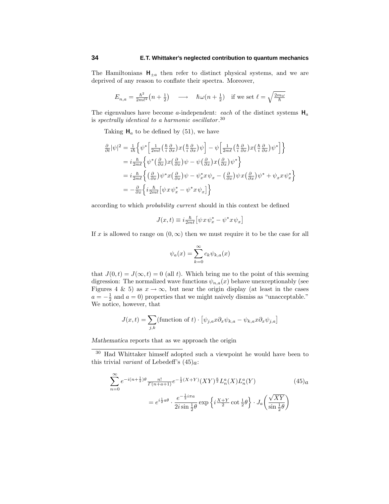The Hamiltonians  $H_{\pm a}$  then refer to distinct physical systems, and we are deprived of any reason to conflate their spectra. Moreover,

$$
E_{n,a} = \frac{\hbar^2}{2m\ell^2} \left( n + \frac{1}{2} \right) \quad \longrightarrow \quad \hbar \omega \left( n + \frac{1}{2} \right) \quad \text{if we set } \ell = \sqrt{\frac{2m\omega}{\hbar}}
$$

The eigenvalues have become *a*-independent: *each* of the distinct systems  $H_a$ is spectrally identical to a harmonic oscillator.<sup>30</sup>

Taking  $H_a$  to be defined by (51), we have

$$
\frac{\partial}{\partial t} |\psi|^2 = \frac{1}{i\hbar} \left\{ \psi^* \left[ \frac{1}{2m\ell} \left( \frac{\hbar}{i} \frac{\partial}{\partial x} \right) x \left( \frac{\hbar}{i} \frac{\partial}{\partial x} \right) \psi \right] - \psi \left[ \frac{1}{2m\ell} \left( \frac{\hbar}{i} \frac{\partial}{\partial x} \right) x \left( \frac{\hbar}{i} \frac{\partial}{\partial x} \right) \psi^* \right] \right\}
$$
\n
$$
= i \frac{\hbar}{2m\ell} \left\{ \psi^* \left( \frac{\partial}{\partial x} \right) x \left( \frac{\partial}{\partial x} \right) \psi - \psi \left( \frac{\partial}{\partial x} \right) x \left( \frac{\partial}{\partial x} \right) \psi^* \right\}
$$
\n
$$
= i \frac{\hbar}{2m\ell} \left\{ \left( \frac{\partial}{\partial x} \right) \psi^* x \left( \frac{\partial}{\partial x} \right) \psi - \psi_x^* x \psi_x - \left( \frac{\partial}{\partial x} \right) \psi x \left( \frac{\partial}{\partial x} \right) \psi^* + \psi_x x \psi_x^* \right\}
$$
\n
$$
= -\frac{\partial}{\partial x} \left\{ i \frac{\hbar}{2m\ell} \left[ \psi x \psi_x^* - \psi^* x \psi_x \right] \right\}
$$

according to which probability current should in this context be defined

$$
J(x,t) \equiv i\frac{\hbar}{2m\ell} \left[ \psi \, x \, \psi_x^* - \psi^* \, x \, \psi_x \right]
$$

If *x* is allowed to range on  $(0, \infty)$  then we must require it to be the case for all

$$
\psi_a(x) = \sum_{k=0}^{\infty} c_k \psi_{k,a}(x)
$$

that  $J(0,t) = J(\infty, t) = 0$  (all *t*). Which bring me to the point of this seeming digression: The normalized wave functions  $\psi_{n,a}(x)$  behave unexceptionably (see Figures 4 & 5) as  $x \to \infty$ , but near the origin display (at least in the cases  $a = -\frac{1}{2}$  and  $a = 0$ ) properties that we might naively dismiss as "unacceptable." We notice, however, that

$$
J(x,t) = \sum_{j,k} \text{(function of } t) \cdot \left[ \psi_{j,a} x \partial_x \psi_{k,a} - \psi_{k,a} x \partial_x \psi_{j,a} \right]
$$

*Mathematica* reports that as we approach the origin

 $^{30}\,$  Had Whittaker himself adopted such a viewpoint he would have been to this trivial *variant* of Lebedeff's  $(45)_a$ :

$$
\sum_{n=0}^{\infty} e^{-i(n+\frac{1}{2})\theta} \frac{n!}{\Gamma(n+a+1)} e^{-\frac{1}{2}(X+Y)} (XY)^{\frac{a}{2}} L_n^a(X) L_n^a(Y)
$$
\n
$$
= e^{i\frac{1}{2}a\theta} \cdot \frac{e^{-\frac{1}{2}i\pi a}}{2i\sin\frac{1}{2}\theta} \exp\left\{i\frac{X+Y}{2}\cot\frac{1}{2}\theta\right\} \cdot J_a\left(\frac{\sqrt{XY}}{\sin\frac{1}{2}\theta}\right)
$$
\n(45)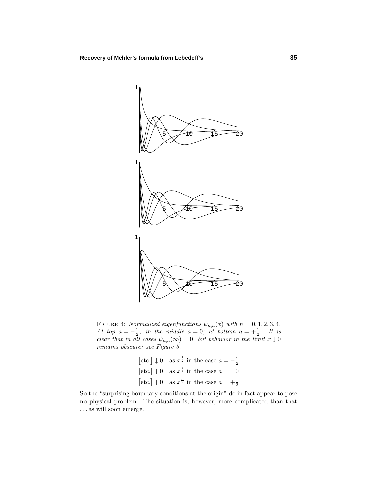

FIGURE 4: Normalized eigenfunctions  $\psi_{n,a}(x)$  with  $n = 0, 1, 2, 3, 4$ . At top  $a = -\frac{1}{2}$ ; in the middle  $a = 0$ ; at bottom  $a = +\frac{1}{2}$ . It is clear that in all cases  $\psi_{n,a}(\infty)=0$ , but behavior in the limit  $x \downarrow 0$ remains obscure: see Figure 5.

|  | [etc.] $\downarrow$ 0 as $x^{\frac{1}{2}}$ in the case $a = -\frac{1}{2}$ |
|--|---------------------------------------------------------------------------|
|  | [etc.] $\downarrow$ 0 as $x^{\frac{2}{2}}$ in the case $a = 0$            |
|  | [etc.] $\downarrow$ 0 as $x^{\frac{3}{2}}$ in the case $a = +\frac{1}{2}$ |

So the "surprising boundary conditions at the origin" do in fact appear to pose no physical problem. The situation is, however, more complicated than that *...* as will soon emerge.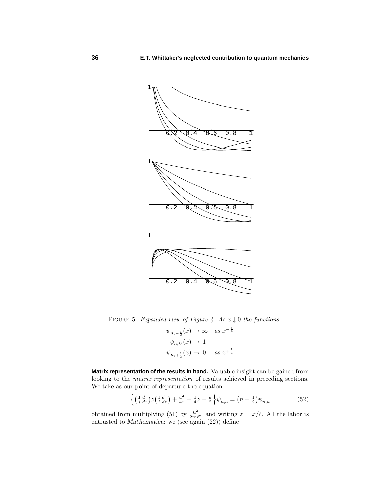

FIGURE 5: Expanded view of Figure 4. As  $x \downarrow 0$  the functions

$$
\psi_{n,-\frac{1}{2}}(x) \to \infty \quad as \ x^{-\frac{1}{4}}
$$
  

$$
\psi_{n,0}(x) \to 1
$$
  

$$
\psi_{n,+\frac{1}{2}}(x) \to 0 \quad as \ x^{+\frac{1}{4}}
$$

**Matrix representation of the results in hand.** Valuable insight can be gained from looking to the matrix representation of results achieved in preceding sections. We take as our point of departure the equation

$$
\left\{ \left( \frac{1}{i} \frac{d}{dz} \right) z \left( \frac{1}{i} \frac{d}{dz} \right) + \frac{a^2}{4z} + \frac{1}{4} z - \frac{a}{2} \right\} \psi_{n,a} = \left( n + \frac{1}{2} \right) \psi_{n,a} \tag{52}
$$

obtained from multiplying (51) by  $\frac{\hbar^2}{2m\ell^2}$  and writing  $z = x/\ell$ . All the labor is entrusted to *Mathematica*: we (see again (22)) define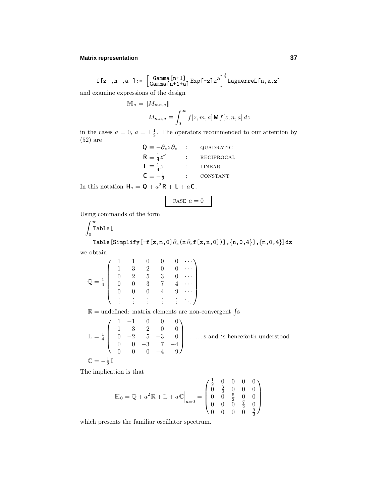## **Matrix representation 37**

$$
f[z_-,n_-,a_-] := \left[\frac{\texttt{Gamma}[n+1]}{\texttt{Gamma}[n+1+a]} \texttt{Exp}[-z] z^a\right]^{\frac{1}{2}} \texttt{Laguerrel}[n,a,z]
$$

and examine expressions of the design

$$
\mathbb{M}_a = \|M_{mn,a}\|
$$
  

$$
M_{mn,a} \equiv \int_0^\infty f[z,m,a] \mathbf{M} f[z,n,a] dz
$$

in the cases  $a = 0$ ,  $a = \pm \frac{1}{2}$ . The operators recommended to our attention by (52) are

| $\mathbf{Q} \equiv -\partial_z z \partial_z$ | QUADRATIC  |
|----------------------------------------------|------------|
| $R \equiv \frac{1}{4}z^{-1}$                 | RECIPROCAL |
| $L \equiv \frac{1}{4}z$                      | LINEAR     |
| $C \equiv -\frac{1}{2}$                      | CONSTANT   |
| $2$ n $\cdot$<br>$\sim$                      |            |

In this notation  $H_a = Q + a^2 R + L + aC$ .

CASE 
$$
a = 0
$$

Using commands of the form

$$
\int_0^\infty \text{Table[}
$$
\n
$$
\text{Table[Simplify}[-f[z,m,0]\partial_z(z\partial_z f[z,n,0])], \{n,0,4\}], \{m,0,4\}] dz
$$

we obtain

$$
\mathbb{Q} = \frac{1}{4} \begin{pmatrix} 1 & 1 & 0 & 0 & 0 & \cdots \\ 1 & 3 & 2 & 0 & 0 & \cdots \\ 0 & 2 & 5 & 3 & 0 & \cdots \\ 0 & 0 & 3 & 7 & 4 & \cdots \\ 0 & 0 & 0 & 4 & 9 & \cdots \\ \vdots & \vdots & \vdots & \vdots & \vdots & \ddots \end{pmatrix}
$$
  
\n
$$
\mathbb{R} = \text{undefined: matrix elements are non-convergent } \int s
$$
  
\n
$$
\mathbb{L} = \frac{1}{4} \begin{pmatrix} 1 & -1 & 0 & 0 & 0 \\ -1 & 3 & -2 & 0 & 0 \\ 0 & -2 & 5 & -3 & 0 \end{pmatrix} \quad \dots \text{ s and } \text{ is hence for}
$$

$$
\mathbb{L} = \frac{1}{4} \begin{bmatrix} -1 & 3 & -2 & 0 & 0 \\ 0 & -2 & 5 & -3 & 0 \\ 0 & 0 & -3 & 7 & -4 \\ 0 & 0 & 0 & -4 & 9 \end{bmatrix} : \dots \text{s and } \text{ is henceforth understood}
$$

$$
\mathbb{C} = -\frac{1}{2}\mathbb{I}
$$

The implication is that

$$
\mathbb{H}_0 = \mathbb{Q} + a^2 \mathbb{R} + \mathbb{L} + a\mathbb{C}\Big|_{a=0} = \begin{pmatrix} \frac{1}{2} & 0 & 0 & 0 & 0 \\ 0 & \frac{3}{2} & 0 & 0 & 0 \\ 0 & 0 & \frac{5}{2} & 0 & 0 \\ 0 & 0 & 0 & \frac{7}{2} & 0 \\ 0 & 0 & 0 & 0 & \frac{9}{2} \end{pmatrix}
$$

which presents the familiar oscillator spectrum.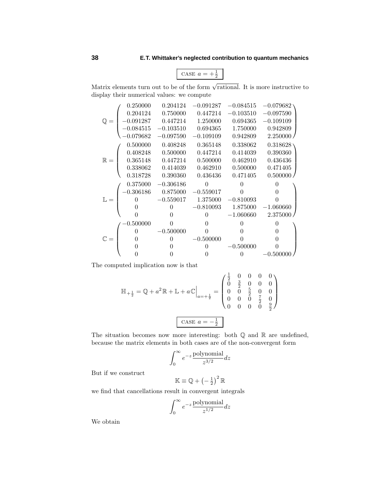$\text{CASE } a = +\frac{1}{2}$ 

Matrix elements turn out to be of the form  $\sqrt{\text{rational}}$ . It is more instructive to display their numerical values: we compute

|                | 0.250000    | 0.204124    | $-0.091287$  | $-0.084515$ | $-0.079682$  |
|----------------|-------------|-------------|--------------|-------------|--------------|
| $\mathbb{Q} =$ | 0.204124    | 0.750000    | 0.447214     | $-0.103510$ | $-0.097590$  |
|                | $-0.091287$ | 0.447214    | 1.250000     | 0.694365    | $-0.109109$  |
|                | $-0.084515$ | $-0.103510$ | 0.694365     | 1.750000    | 0.942809     |
|                | $-0.079682$ | $-0.097590$ | $-0.109109$  | 0.942809    | 2.250000     |
| $\mathbb{R} =$ | 0.500000    | 0.408248    | 0.365148     | 0.338062    | 0.318628     |
|                | 0.408248    | 0.500000    | 0.447214     | 0.414039    | 0.390360     |
|                | 0.365148    | 0.447214    | 0.500000     | 0.462910    | 0.436436     |
|                | 0.338062    | 0.414039    | 0.462910     | 0.500000    | 0.471405     |
|                | 0.318728    | 0.390360    | 0.436436     | 0.471405    | 0.500000/    |
|                |             |             |              |             |              |
|                | 0.375000    | $-0.306186$ | $\Omega$     | ∩           |              |
|                | $-0.306186$ | 0.875000    | $-0.559017$  | 0           | 0            |
| $\mathbb{L} =$ | $\Omega$    | $-0.559017$ | 1.375000     | $-0.810093$ | 0            |
|                | 0           | $\Omega$    | $-0.810093$  | 1.875000    | $-1.060660$  |
|                | 0           |             | $\Omega$     | $-1.060660$ | 2.375000     |
|                | 0.500000    | 0           | $\mathbf{0}$ | $\Omega$    | $\mathbf{0}$ |
|                | 0           | $-0.500000$ | 0            | 0           | 0            |
| $\mathbb{C} =$ | 0           | 0           | $-0.500000$  | 0           | 0            |
|                | 0           | 0           | $\Omega$     | $-0.500000$ | $\theta$     |

The computed implication now is that

$$
\mathbb{H}_{+\frac{1}{2}} = \mathbb{Q} + a^2 \mathbb{R} + \mathbb{L} + a\mathbb{C}\Big|_{a = +\frac{1}{2}} = \begin{pmatrix} \frac{1}{2} & 0 & 0 & 0 & 0 \\ 0 & \frac{3}{2} & 0 & 0 & 0 \\ 0 & 0 & \frac{5}{2} & 0 & 0 \\ 0 & 0 & 0 & \frac{7}{2} & 0 \\ 0 & 0 & 0 & 0 & \frac{9}{2} \end{pmatrix}
$$
  

$$
\text{CASE } a = -\frac{1}{2}
$$

The situation becomes now more interesting: both  $\mathbb Q$  and  $\mathbb R$  are undefined, because the matrix elements in both cases are of the non-convergent form

$$
\int_0^\infty e^{-z} \frac{\text{polynomial}}{z^{3/2}} dz
$$

But if we construct

$$
\mathbb{K} \equiv \mathbb{Q} + \left(-\frac{1}{2}\right)^2 \mathbb{R}
$$

we find that cancellations result in convergent integrals

$$
\int_0^\infty e^{-z} \frac{\text{polynomial}}{z^{1/2}} dz
$$

We obtain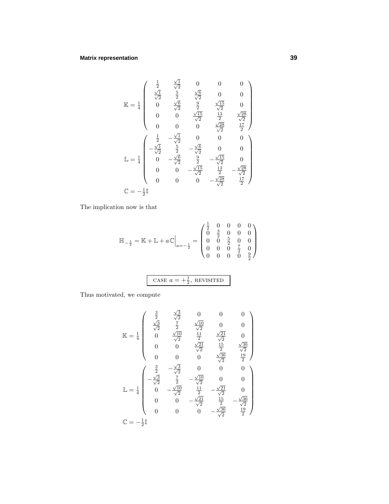## **Matrix representation 39**

$$
\mathbb{K} = \frac{1}{4} \begin{pmatrix} \frac{1}{2} & \frac{\sqrt{1}}{\sqrt{2}} & 0 & 0 & 0 \\ \frac{\sqrt{1}}{\sqrt{2}} & \frac{5}{2} & \frac{\sqrt{6}}{\sqrt{2}} & 0 & 0 \\ 0 & \frac{\sqrt{6}}{\sqrt{2}} & \frac{9}{2} & \frac{\sqrt{15}}{\sqrt{2}} & 0 \\ 0 & 0 & \frac{\sqrt{15}}{\sqrt{2}} & \frac{13}{2} & \frac{\sqrt{28}}{\sqrt{2}} \\ 0 & 0 & 0 & \frac{\sqrt{28}}{\sqrt{2}} & \frac{17}{2} \end{pmatrix}
$$

$$
\mathbb{L} = \frac{1}{4} \begin{pmatrix} \frac{1}{2} & -\frac{\sqrt{1}}{\sqrt{2}} & 0 & 0 & 0 \\ -\frac{\sqrt{1}}{\sqrt{2}} & \frac{5}{2} & -\frac{\sqrt{6}}{\sqrt{2}} & 0 & 0 \\ 0 & -\frac{\sqrt{6}}{\sqrt{2}} & \frac{9}{2} & -\frac{\sqrt{15}}{\sqrt{2}} & 0 \\ 0 & 0 & -\frac{\sqrt{15}}{\sqrt{2}} & \frac{13}{2} & -\frac{\sqrt{28}}{\sqrt{2}} \\ 0 & 0 & 0 & -\frac{\sqrt{28}}{\sqrt{2}} & \frac{17}{2} \end{pmatrix}
$$

$$
\mathbb{C} = -\frac{1}{2}\mathbb{I}
$$

The implication now is that

$$
\mathbb{H}_{-\frac{1}{2}} = \mathbb{K} + \mathbb{L} + a\mathbb{C}\Big|_{a=-\frac{1}{2}} = \begin{pmatrix} \frac{1}{2} & 0 & 0 & 0 & 0 \\ 0 & \frac{3}{2} & 0 & 0 & 0 \\ 0 & 0 & \frac{5}{2} & 0 & 0 \\ 0 & 0 & 0 & \frac{7}{2} & 0 \\ 0 & 0 & 0 & 0 & \frac{9}{2} \end{pmatrix}
$$

CASE 
$$
a = +\frac{1}{2}
$$
, REVIEW

Thus motivated, we compute

$$
\mathbb{K} = \frac{1}{4} \begin{pmatrix} \frac{3}{2} & \frac{\sqrt{3}}{\sqrt{2}} & 0 & 0 & 0 \\ \frac{\sqrt{3}}{\sqrt{2}} & \frac{7}{2} & \frac{\sqrt{10}}{\sqrt{2}} & 0 & 0 \\ 0 & \frac{\sqrt{10}}{\sqrt{2}} & \frac{11}{2} & \frac{\sqrt{21}}{\sqrt{2}} & 0 \\ 0 & 0 & \frac{\sqrt{21}}{\sqrt{2}} & \frac{15}{2} & \frac{\sqrt{36}}{\sqrt{2}} \\ 0 & 0 & 0 & \frac{\sqrt{36}}{\sqrt{2}} & \frac{19}{2} \end{pmatrix}
$$

$$
\mathbb{L} = \frac{1}{4} \begin{pmatrix} \frac{3}{2} & -\frac{\sqrt{3}}{\sqrt{2}} & 0 & 0 & 0 \\ -\frac{\sqrt{3}}{\sqrt{2}} & \frac{7}{2} & -\frac{\sqrt{10}}{\sqrt{2}} & 0 & 0 \\ 0 & -\frac{\sqrt{10}}{\sqrt{2}} & \frac{11}{2} & -\frac{\sqrt{21}}{\sqrt{2}} & 0 \\ 0 & 0 & -\frac{\sqrt{21}}{\sqrt{2}} & \frac{15}{2} & -\frac{\sqrt{36}}{\sqrt{2}} \\ 0 & 0 & 0 & -\frac{\sqrt{36}}{\sqrt{2}} & \frac{19}{2} \end{pmatrix}
$$

$$
\mathbb{C} = -\frac{1}{2}\mathbb{I}
$$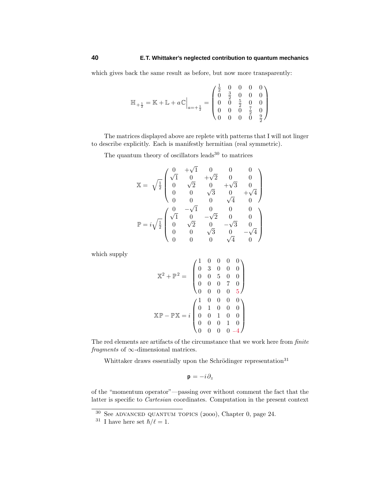which gives back the same result as before, but now more transparently:

$$
\mathbb{H}_{+\frac{1}{2}}=\mathbb{K}+\mathbb{L}+a\mathbb{C}\Big|_{a=+\frac{1}{2}}=\begin{pmatrix}\frac{1}{2} & 0 & 0 & 0 & 0\\ 0 & \frac{3}{2} & 0 & 0 & 0\\ 0 & 0 & \frac{5}{2} & 0 & 0\\ 0 & 0 & 0 & \frac{7}{2} & 0\\ 0 & 0 & 0 & 0 & \frac{9}{2}\end{pmatrix}
$$

The matrices displayed above are replete with patterns that I will not linger to describe explicitly. Each is manifestly hermitian (real symmetric).

The quantum theory of oscillators leads $30$  to matrices

$$
\mathbb{X} = \sqrt{\frac{1}{2}} \begin{pmatrix} 0 & +\sqrt{1} & 0 & 0 & 0 \\ \sqrt{1} & 0 & +\sqrt{2} & 0 & 0 \\ 0 & \sqrt{2} & 0 & +\sqrt{3} & 0 \\ 0 & 0 & \sqrt{3} & 0 & +\sqrt{4} \\ 0 & 0 & 0 & \sqrt{4} & 0 \end{pmatrix}
$$

$$
\mathbb{P} = i\sqrt{\frac{1}{2}} \begin{pmatrix} 0 & -\sqrt{1} & 0 & 0 & 0 \\ \sqrt{1} & 0 & -\sqrt{2} & 0 & 0 \\ 0 & \sqrt{2} & 0 & -\sqrt{3} & 0 \\ 0 & 0 & \sqrt{3} & 0 & -\sqrt{4} \\ 0 & 0 & 0 & \sqrt{4} & 0 \end{pmatrix}
$$

which supply

$$
\mathbb{X}^2 + \mathbb{P}^2 = \begin{pmatrix} 1 & 0 & 0 & 0 & 0 \\ 0 & 3 & 0 & 0 & 0 \\ 0 & 0 & 5 & 0 & 0 \\ 0 & 0 & 0 & 7 & 0 \\ 0 & 0 & 0 & 0 & 5 \end{pmatrix}
$$

$$
\mathbb{X}\mathbb{P} - \mathbb{P}\mathbb{X} = i \begin{pmatrix} 1 & 0 & 0 & 0 & 0 \\ 0 & 1 & 0 & 0 & 0 \\ 0 & 0 & 1 & 0 & 0 \\ 0 & 0 & 0 & 1 & 0 \\ 0 & 0 & 0 & 0 & -4 \end{pmatrix}
$$

The red elements are artifacts of the circumstance that we work here from finite fragments of  $\infty$ -dimensional matrices.

Whittaker draws essentially upon the Schrödinger representation<sup>31</sup>

 $\mathbf{p} = -i\partial_z$ 

of the "momentum operator"—passing over without comment the fact that the latter is specific to Cartesian coordinates. Computation in the present context

 $30$  See ADVANCED QUANTUM TOPICS (2000), Chapter 0, page 24.

<sup>&</sup>lt;sup>31</sup> I have here set  $\hbar/\ell = 1$ .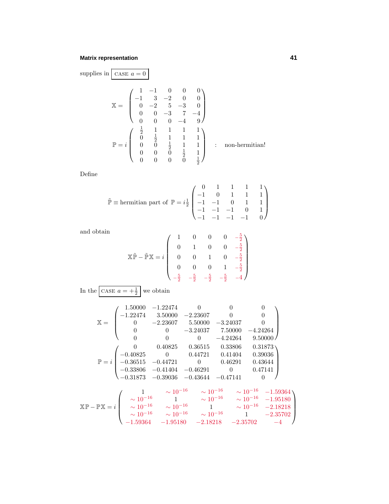## **Matrix representation 41**

supplies in 
$$
\begin{bmatrix} \csc a = 0 \\ \csc a = 0 \end{bmatrix}
$$
  
\n
$$
\mathbb{X} = \begin{pmatrix} 1 & -1 & 0 & 0 & 0 \\ -1 & 3 & -2 & 0 & 0 \\ 0 & -2 & 5 & -3 & 0 \\ 0 & 0 & -3 & 7 & -4 \\ 0 & 0 & 0 & -4 & 9 \end{pmatrix}
$$
\n
$$
\mathbb{P} = i \begin{pmatrix} \frac{1}{2} & 1 & 1 & 1 & 1 \\ 0 & \frac{1}{2} & 1 & 1 & 1 \\ 0 & 0 & \frac{1}{2} & 1 & 1 \\ 0 & 0 & 0 & \frac{1}{2} & 1 \\ 0 & 0 & 0 & 0 & \frac{1}{2} \end{pmatrix} : non-hermitian!
$$

Define

$$
\tilde{\mathbb{P}} \equiv \text{hermitian part of } \mathbb{P} = i\frac{1}{2} \begin{pmatrix} 0 & 1 & 1 & 1 & 1 \\ -1 & 0 & 1 & 1 & 1 \\ -1 & -1 & 0 & 1 & 1 \\ -1 & -1 & -1 & 0 & 1 \\ -1 & -1 & -1 & -1 & 0 \end{pmatrix}
$$

and obtain

$$
\mathbb{X}\tilde{\mathbb{P}} - \tilde{\mathbb{P}}\mathbb{X} = i \begin{pmatrix} 1 & 0 & 0 & 0 & -\frac{5}{2} \\ 0 & 1 & 0 & 0 & -\frac{5}{2} \\ 0 & 0 & 1 & 0 & -\frac{5}{2} \\ 0 & 0 & 0 & 1 & -\frac{5}{2} \\ -\frac{5}{2} & -\frac{5}{2} & -\frac{5}{2} & -\frac{5}{2} & -4 \end{pmatrix}
$$

In the CASE  $a = +\frac{1}{2}$  we obtain

$$
\mathbb{X} = \begin{pmatrix}\n1.50000 & -1.22474 & 0 & 0 & 0 \\
-1.22474 & 3.50000 & -2.23607 & 0 & 0 \\
0 & -2.23607 & 5.50000 & -3.24037 & 0 \\
0 & 0 & -3.24037 & 7.50000 & -4.24264 \\
0 & 0 & 0 & -4.24264 & 9.50000\n\end{pmatrix}
$$
\n
$$
\mathbb{P} = i \begin{pmatrix}\n0 & 0.40825 & 0.36515 & 0.33806 & 0.31873 \\
-0.40825 & 0 & 0.44721 & 0.41404 & 0.39036 \\
-0.36515 & -0.44721 & 0 & 0.46291 & 0.43644 \\
-0.33806 & -0.41404 & -0.46291 & 0 & 0.47141 \\
-0.31873 & -0.39036 & -0.43644 & -0.47141 & 0\n\end{pmatrix}
$$
\n
$$
\mathbb{X} \mathbb{P} - \mathbb{P} \mathbb{X} = i \begin{pmatrix}\n1 & \sim 10^{-16} & \sim 10^{-16} & \sim 10^{-16} & -1.59364 \\
\sim 10^{-16} & 1 & \sim 10^{-16} & \sim 10^{-16} & -1.95180 \\
\sim 10^{-16} & \sim 10^{-16} & 1 & \sim 10^{-16} & -2.18218 \\
\sim 10^{-16} & \sim 10^{-16} & \sim 10^{-16} & 1 & -2.35702\n\end{pmatrix}
$$

−1*.*59364 −1*.*95180 −2*.*18218 −2*.*35702 −4

 $\setminus$ 

 $\Bigg\}$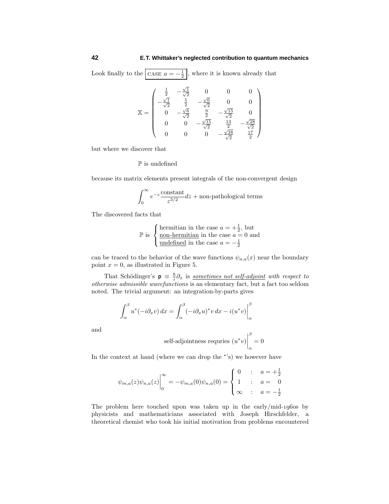Look finally to the  $\boxed{\text{CASE } a = -\frac{1}{2}}$ , where it is known already that

$$
\mathbb{X} = \begin{pmatrix} \frac{1}{2} & -\frac{\sqrt{1}}{\sqrt{2}} & 0 & 0 & 0 \\ -\frac{\sqrt{1}}{\sqrt{2}} & \frac{5}{2} & -\frac{\sqrt{6}}{\sqrt{2}} & 0 & 0 \\ 0 & -\frac{\sqrt{6}}{\sqrt{2}} & \frac{9}{2} & -\frac{\sqrt{15}}{\sqrt{2}} & 0 \\ 0 & 0 & -\frac{\sqrt{15}}{\sqrt{2}} & \frac{13}{2} & -\frac{\sqrt{28}}{\sqrt{2}} \\ 0 & 0 & 0 & -\frac{\sqrt{28}}{\sqrt{2}} & \frac{17}{2} \end{pmatrix}
$$

but where we discover that

 ${\mathbb P}$  is undefined

because its matrix elements present integrals of the non-convergent design

$$
\int_0^\infty e^{-z} \frac{\text{constant}}{z^{3/2}} dz + \text{non-pathological terms}
$$

The discovered facts that

$$
\mathbb{P} \text{ is } \begin{cases} \text{hermitian in the case } a = +\frac{1}{2}, \text{ but} \\ \frac{\text{non-hermitian in the case } a = 0 \text{ and} \\ \frac{\text{undefined in the case } a = -\frac{1}{2} \end{cases}
$$

can be traced to the behavior of the wave functions  $\psi_{n,a}(x)$  near the boundary point  $x = 0$ , as illustrated in Figure 5.

That Schödinger's  $\mathbf{p} \equiv \frac{\hbar}{i} \partial_x$  is <u>sometimes not self-adjoint</u> with respect to otherwise admissible wavefunctions is an elementary fact, but a fact too seldom noted. The trivial argument: an integration-by-parts gives

$$
\int_{\alpha}^{\beta} u^*(-i\partial_x v) dx = \int_{\alpha}^{\beta} (-i\partial_x u)^* v dx - i(u^*v) \Big|_{\alpha}^{\beta}
$$

and

self-adjointness requires 
$$
(u^*v)\Big|_{\alpha}^{\beta} = 0
$$

In the context at hand (where we can drop the <sup>∗</sup>'s) we however have

$$
\psi_{m,a}(z)\psi_{n,a}(z)\Big|_0^\infty = -\psi_{m,a}(0)\psi_{n,a}(0) = \begin{cases} 0 & \text{if } a = +\frac{1}{2} \\ 1 & \text{if } a = 0 \\ \infty & \text{if } a = -\frac{1}{2} \end{cases}
$$

The problem here touched upon was taken up in the early/mid-1960s by physicists and mathematicians associated with Joseph Hirschfelder, a theoretical chemist who took his initial motivation from problems encountered